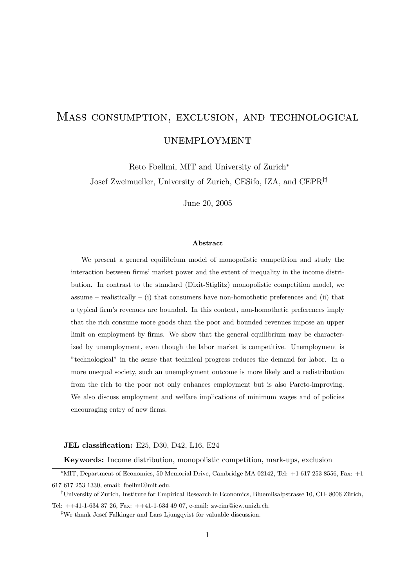# Mass consumption, exclusion, and technological

**UNEMPLOYMENT** 

Reto Foellmi, MIT and University of Zurich<sup>∗</sup> Josef Zweimueller, University of Zurich, CESifo, IZA, and CEPR†‡

June 20, 2005

#### Abstract

We present a general equilibrium model of monopolistic competition and study the interaction between firms' market power and the extent of inequality in the income distribution. In contrast to the standard (Dixit-Stiglitz) monopolistic competition model, we assume – realistically – (i) that consumers have non-homothetic preferences and (ii) that a typical firm's revenues are bounded. In this context, non-homothetic preferences imply that the rich consume more goods than the poor and bounded revenues impose an upper limit on employment by firms. We show that the general equilibrium may be characterized by unemployment, even though the labor market is competitive. Unemployment is "technological" in the sense that technical progress reduces the demand for labor. In a more unequal society, such an unemployment outcome is more likely and a redistribution from the rich to the poor not only enhances employment but is also Pareto-improving. We also discuss employment and welfare implications of minimum wages and of policies encouraging entry of new firms.

#### JEL classification: E25, D30, D42, L16, E24

Keywords: Income distribution, monopolistic competition, mark-ups, exclusion

 $*$ MIT, Department of Economics, 50 Memorial Drive, Cambridge MA 02142, Tel:  $+1$  617 253 8556, Fax:  $+1$ 617 617 253 1330, email: foellmi@mit.edu.

<sup>&</sup>lt;sup>†</sup>University of Zurich, Institute for Empirical Research in Economics, Bluemlisalpstrasse 10, CH- 8006 Zürich,

Tel: ++41-1-634 37 26, Fax: ++41-1-634 49 07, e-mail: zweim@iew.unizh.ch.

<sup>‡</sup>We thank Josef Falkinger and Lars Ljungqvist for valuable discussion.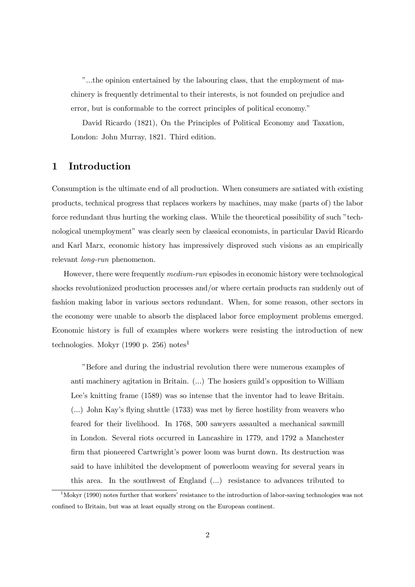"...the opinion entertained by the labouring class, that the employment of machinery is frequently detrimental to their interests, is not founded on prejudice and error, but is conformable to the correct principles of political economy."

David Ricardo (1821), On the Principles of Political Economy and Taxation, London: John Murray, 1821. Third edition.

# 1 Introduction

Consumption is the ultimate end of all production. When consumers are satiated with existing products, technical progress that replaces workers by machines, may make (parts of) the labor force redundant thus hurting the working class. While the theoretical possibility of such "technological unemployment" was clearly seen by classical economists, in particular David Ricardo and Karl Marx, economic history has impressively disproved such visions as an empirically relevant long-run phenomenon.

However, there were frequently medium-run episodes in economic history were technological shocks revolutionized production processes and/or where certain products ran suddenly out of fashion making labor in various sectors redundant. When, for some reason, other sectors in the economy were unable to absorb the displaced labor force employment problems emerged. Economic history is full of examples where workers were resisting the introduction of new technologies. Mokyr (1990 p. 256) notes<sup>1</sup>

"Before and during the industrial revolution there were numerous examples of anti machinery agitation in Britain. (...) The hosiers guild's opposition to William Lee's knitting frame (1589) was so intense that the inventor had to leave Britain. (...) John Kay's flying shuttle (1733) was met by fierce hostility from weavers who feared for their livelihood. In 1768, 500 sawyers assaulted a mechanical sawmill in London. Several riots occurred in Lancashire in 1779, and 1792 a Manchester firm that pioneered Cartwright's power loom was burnt down. Its destruction was said to have inhibited the development of powerloom weaving for several years in this area. In the southwest of England (...) resistance to advances tributed to

<sup>&</sup>lt;sup>1</sup>Mokyr (1990) notes further that workers' resistance to the introduction of labor-saving technologies was not confined to Britain, but was at least equally strong on the European continent.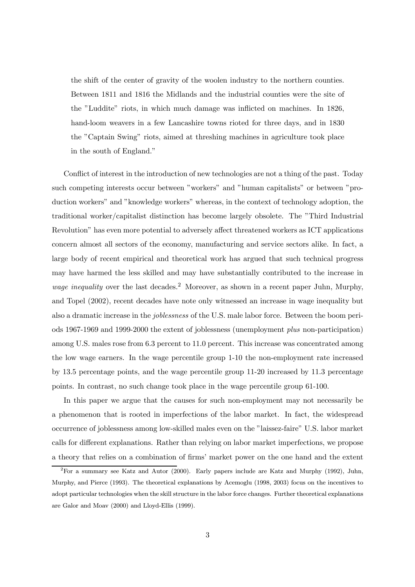the shift of the center of gravity of the woolen industry to the northern counties. Between 1811 and 1816 the Midlands and the industrial counties were the site of the "Luddite" riots, in which much damage was inflicted on machines. In 1826, hand-loom weavers in a few Lancashire towns rioted for three days, and in 1830 the "Captain Swing" riots, aimed at threshing machines in agriculture took place in the south of England."

Conflict of interest in the introduction of new technologies are not a thing of the past. Today such competing interests occur between "workers" and "human capitalists" or between "production workers" and "knowledge workers" whereas, in the context of technology adoption, the traditional worker/capitalist distinction has become largely obsolete. The "Third Industrial Revolution" has even more potential to adversely affect threatened workers as ICT applications concern almost all sectors of the economy, manufacturing and service sectors alike. In fact, a large body of recent empirical and theoretical work has argued that such technical progress may have harmed the less skilled and may have substantially contributed to the increase in *wage inequality* over the last decades.<sup>2</sup> Moreover, as shown in a recent paper Juhn, Murphy, and Topel (2002), recent decades have note only witnessed an increase in wage inequality but also a dramatic increase in the joblessness of the U.S. male labor force. Between the boom periods 1967-1969 and 1999-2000 the extent of joblessness (unemployment plus non-participation) among U.S. males rose from 6.3 percent to 11.0 percent. This increase was concentrated among the low wage earners. In the wage percentile group 1-10 the non-employment rate increased by 13.5 percentage points, and the wage percentile group 11-20 increased by 11.3 percentage points. In contrast, no such change took place in the wage percentile group 61-100.

In this paper we argue that the causes for such non-employment may not necessarily be a phenomenon that is rooted in imperfections of the labor market. In fact, the widespread occurrence of joblessness among low-skilled males even on the "laissez-faire" U.S. labor market calls for different explanations. Rather than relying on labor market imperfections, we propose a theory that relies on a combination of firms' market power on the one hand and the extent

 ${}^{2}$ For a summary see Katz and Autor (2000). Early papers include are Katz and Murphy (1992), Juhn, Murphy, and Pierce (1993). The theoretical explanations by Acemoglu (1998, 2003) focus on the incentives to adopt particular technologies when the skill structure in the labor force changes. Further theoretical explanations are Galor and Moav (2000) and Lloyd-Ellis (1999).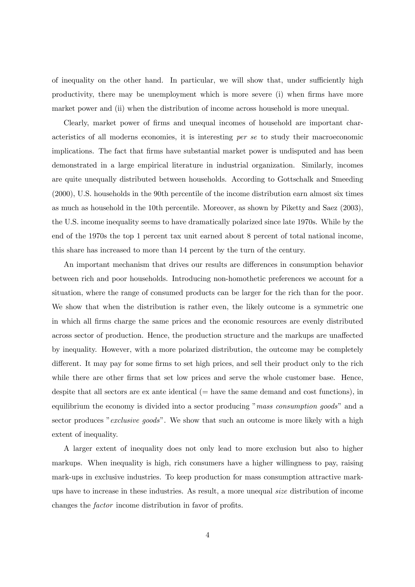of inequality on the other hand. In particular, we will show that, under sufficiently high productivity, there may be unemployment which is more severe (i) when firms have more market power and (ii) when the distribution of income across household is more unequal.

Clearly, market power of firms and unequal incomes of household are important characteristics of all moderns economies, it is interesting per se to study their macroeconomic implications. The fact that firms have substantial market power is undisputed and has been demonstrated in a large empirical literature in industrial organization. Similarly, incomes are quite unequally distributed between households. According to Gottschalk and Smeeding (2000), U.S. households in the 90th percentile of the income distribution earn almost six times as much as household in the 10th percentile. Moreover, as shown by Piketty and Saez (2003), the U.S. income inequality seems to have dramatically polarized since late 1970s. While by the end of the 1970s the top 1 percent tax unit earned about 8 percent of total national income, this share has increased to more than 14 percent by the turn of the century.

An important mechanism that drives our results are differences in consumption behavior between rich and poor households. Introducing non-homothetic preferences we account for a situation, where the range of consumed products can be larger for the rich than for the poor. We show that when the distribution is rather even, the likely outcome is a symmetric one in which all firms charge the same prices and the economic resources are evenly distributed across sector of production. Hence, the production structure and the markups are unaffected by inequality. However, with a more polarized distribution, the outcome may be completely different. It may pay for some firms to set high prices, and sell their product only to the rich while there are other firms that set low prices and serve the whole customer base. Hence, despite that all sectors are  $ex$  ante identical ( $=$  have the same demand and cost functions), in equilibrium the economy is divided into a sector producing "mass consumption goods" and a sector produces "*exclusive goods*". We show that such an outcome is more likely with a high extent of inequality.

A larger extent of inequality does not only lead to more exclusion but also to higher markups. When inequality is high, rich consumers have a higher willingness to pay, raising mark-ups in exclusive industries. To keep production for mass consumption attractive markups have to increase in these industries. As result, a more unequal size distribution of income changes the factor income distribution in favor of profits.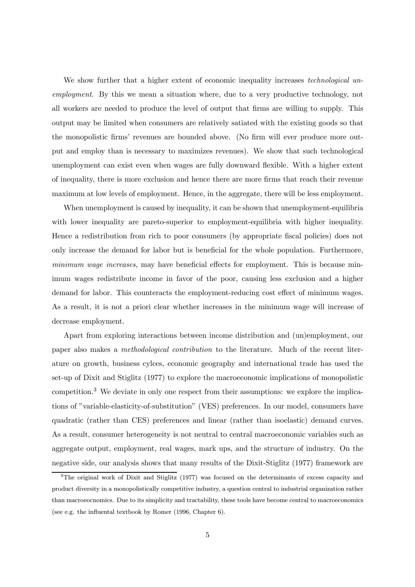We show further that a higher extent of economic inequality increases *technological un*employment. By this we mean a situation where, due to a very productive technology, not all workers are needed to produce the level of output that firms are willing to supply. This output may be limited when consumers are relatively satiated with the existing goods so that the monopolistic firms' revenues are bounded above. (No firm will ever produce more output and employ than is necessary to maximizes revenues). We show that such technological unemployment can exist even when wages are fully downward flexible. With a higher extent of inequality, there is more exclusion and hence there are more firms that reach their revenue maximum at low levels of employment. Hence, in the aggregate, there will be less employment.

When unemployment is caused by inequality, it can be shown that unemployment-equilibria with lower inequality are pareto-superior to employment-equilibria with higher inequality. Hence a redistribution from rich to poor consumers (by appropriate fiscal policies) does not only increase the demand for labor but is beneficial for the whole population. Furthermore, minimum wage increases, may have beneficial effects for employment. This is because minimum wages redistribute income in favor of the poor, causing less exclusion and a higher demand for labor. This counteracts the employment-reducing cost effect of minimum wages. As a result, it is not a priori clear whether increases in the minimum wage will increase of decrease employment.

Apart from exploring interactions between income distribution and (un)employment, our paper also makes a methodological contribution to the literature. Much of the recent literature on growth, business cylces, economic geography and international trade has used the set-up of Dixit and Stiglitz (1977) to explore the macroeconomic implications of monopolistic competition.<sup>3</sup> We deviate in only one respect from their assumptions: we explore the implications of "variable-elasticity-of-substitution" (VES) preferences. In our model, consumers have quadratic (rather than CES) preferences and linear (rather than isoelastic) demand curves. As a result, consumer heterogeneity is not neutral to central macroeconomic variables such as aggregate output, employment, real wages, mark ups, and the structure of industry. On the negative side, our analysis shows that many results of the Dixit-Stiglitz (1977) framework are

<sup>&</sup>lt;sup>3</sup>The original work of Dixit and Stiglitz (1977) was focused on the determinants of excess capacity and product diversity in a monopolistically competitive industry, a question central to industrial organization rather than macroeocnomics. Due to its simplicity and tractability, these tools have become central to macroeconomics (see e.g. the influental textbook by Romer (1996, Chapter 6).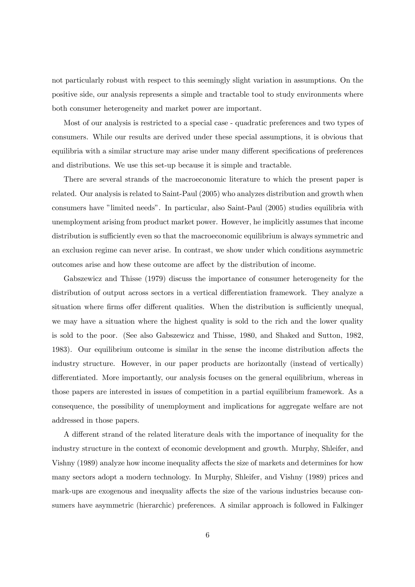not particularly robust with respect to this seemingly slight variation in assumptions. On the positive side, our analysis represents a simple and tractable tool to study environments where both consumer heterogeneity and market power are important.

Most of our analysis is restricted to a special case - quadratic preferences and two types of consumers. While our results are derived under these special assumptions, it is obvious that equilibria with a similar structure may arise under many different specifications of preferences and distributions. We use this set-up because it is simple and tractable.

There are several strands of the macroeconomic literature to which the present paper is related. Our analysis is related to Saint-Paul (2005) who analyzes distribution and growth when consumers have "limited needs". In particular, also Saint-Paul (2005) studies equilibria with unemployment arising from product market power. However, he implicitly assumes that income distribution is sufficiently even so that the macroeconomic equilibrium is always symmetric and an exclusion regime can never arise. In contrast, we show under which conditions asymmetric outcomes arise and how these outcome are affect by the distribution of income.

Gabszewicz and Thisse (1979) discuss the importance of consumer heterogeneity for the distribution of output across sectors in a vertical differentiation framework. They analyze a situation where firms offer different qualities. When the distribution is sufficiently unequal, we may have a situation where the highest quality is sold to the rich and the lower quality is sold to the poor. (See also Gabszewicz and Thisse, 1980, and Shaked and Sutton, 1982, 1983). Our equilibrium outcome is similar in the sense the income distribution affects the industry structure. However, in our paper products are horizontally (instead of vertically) differentiated. More importantly, our analysis focuses on the general equilibrium, whereas in those papers are interested in issues of competition in a partial equilibrium framework. As a consequence, the possibility of unemployment and implications for aggregate welfare are not addressed in those papers.

A different strand of the related literature deals with the importance of inequality for the industry structure in the context of economic development and growth. Murphy, Shleifer, and Vishny (1989) analyze how income inequality affects the size of markets and determines for how many sectors adopt a modern technology. In Murphy, Shleifer, and Vishny (1989) prices and mark-ups are exogenous and inequality affects the size of the various industries because consumers have asymmetric (hierarchic) preferences. A similar approach is followed in Falkinger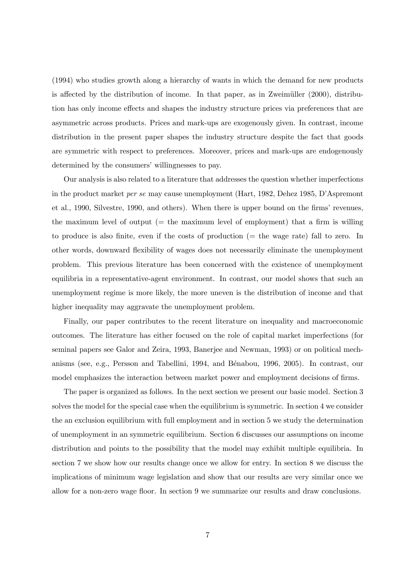(1994) who studies growth along a hierarchy of wants in which the demand for new products is affected by the distribution of income. In that paper, as in Zweimüller  $(2000)$ , distribution has only income effects and shapes the industry structure prices via preferences that are asymmetric across products. Prices and mark-ups are exogenously given. In contrast, income distribution in the present paper shapes the industry structure despite the fact that goods are symmetric with respect to preferences. Moreover, prices and mark-ups are endogenously determined by the consumers' willingnesses to pay.

Our analysis is also related to a literature that addresses the question whether imperfections in the product market per se may cause unemployment (Hart, 1982, Dehez 1985, D'Aspremont et al., 1990, Silvestre, 1990, and others). When there is upper bound on the firms' revenues, the maximum level of output  $(=$  the maximum level of employment) that a firm is willing to produce is also finite, even if the costs of production  $(=$  the wage rate) fall to zero. In other words, downward flexibility of wages does not necessarily eliminate the unemployment problem. This previous literature has been concerned with the existence of unemployment equilibria in a representative-agent environment. In contrast, our model shows that such an unemployment regime is more likely, the more uneven is the distribution of income and that higher inequality may aggravate the unemployment problem.

Finally, our paper contributes to the recent literature on inequality and macroeconomic outcomes. The literature has either focused on the role of capital market imperfections (for seminal papers see Galor and Zeira, 1993, Banerjee and Newman, 1993) or on political mechanisms (see, e.g., Persson and Tabellini, 1994, and Bénabou, 1996, 2005). In contrast, our model emphasizes the interaction between market power and employment decisions of firms.

The paper is organized as follows. In the next section we present our basic model. Section 3 solves the model for the special case when the equilibrium is symmetric. In section 4 we consider the an exclusion equilibrium with full employment and in section 5 we study the determination of unemployment in an symmetric equilibrium. Section 6 discusses our assumptions on income distribution and points to the possibility that the model may exhibit multiple equilibria. In section 7 we show how our results change once we allow for entry. In section 8 we discuss the implications of minimum wage legislation and show that our results are very similar once we allow for a non-zero wage floor. In section 9 we summarize our results and draw conclusions.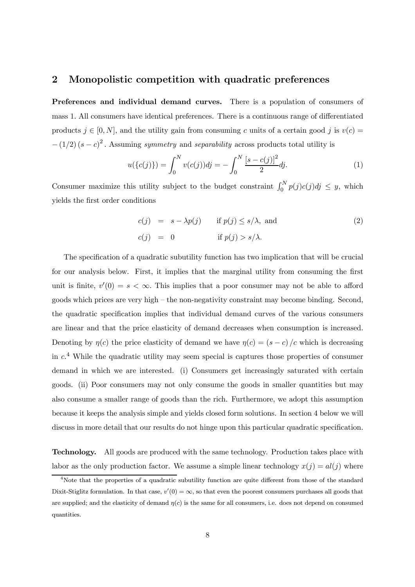# 2 Monopolistic competition with quadratic preferences

Preferences and individual demand curves. There is a population of consumers of mass 1. All consumers have identical preferences. There is a continuous range of differentiated products  $j \in [0, N]$ , and the utility gain from consuming c units of a certain good j is  $v(c)$  $-(1/2)(s-c)^2$ . Assuming *symmetry* and *separability* across products total utility is

$$
u(\{c(j)\}) = \int_0^N v(c(j))dj = -\int_0^N \frac{[s-c(j)]^2}{2}dj.
$$
 (1)

Consumer maximize this utility subject to the budget constraint  $\int_0^N p(j)c(j)dj \leq y$ , which yields the first order conditions

$$
c(j) = s - \lambda p(j) \quad \text{if } p(j) \le s/\lambda, \text{ and}
$$
  
\n
$$
c(j) = 0 \quad \text{if } p(j) > s/\lambda.
$$
\n(2)

The specification of a quadratic subutility function has two implication that will be crucial for our analysis below. First, it implies that the marginal utility from consuming the first unit is finite,  $v'(0) = s < \infty$ . This implies that a poor consumer may not be able to afford goods which prices are very high — the non-negativity constraint may become binding. Second, the quadratic specification implies that individual demand curves of the various consumers are linear and that the price elasticity of demand decreases when consumption is increased. Denoting by  $\eta(c)$  the price elasticity of demand we have  $\eta(c)=(s - c)/c$  which is decreasing in  $c<sup>4</sup>$  While the quadratic utility may seem special is captures those properties of consumer demand in which we are interested. (i) Consumers get increasingly saturated with certain goods. (ii) Poor consumers may not only consume the goods in smaller quantities but may also consume a smaller range of goods than the rich. Furthermore, we adopt this assumption because it keeps the analysis simple and yields closed form solutions. In section 4 below we will discuss in more detail that our results do not hinge upon this particular quadratic specification.

Technology. All goods are produced with the same technology. Production takes place with labor as the only production factor. We assume a simple linear technology  $x(j) = al(j)$  where

<sup>&</sup>lt;sup>4</sup>Note that the properties of a quadratic subutility function are quite different from those of the standard Dixit-Stiglitz formulation. In that case,  $v'(0) = \infty$ , so that even the poorest consumers purchases all goods that are supplied; and the elasticity of demand  $\eta(c)$  is the same for all consumers, i.e. does not depend on consumed quantities.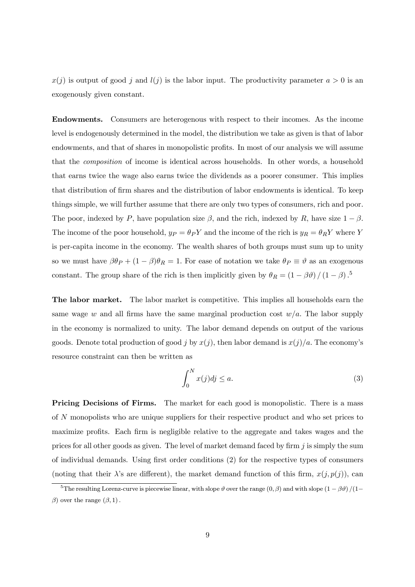$x(j)$  is output of good j and  $l(j)$  is the labor input. The productivity parameter  $a > 0$  is an exogenously given constant.

Endowments. Consumers are heterogenous with respect to their incomes. As the income level is endogenously determined in the model, the distribution we take as given is that of labor endowments, and that of shares in monopolistic profits. In most of our analysis we will assume that the composition of income is identical across households. In other words, a household that earns twice the wage also earns twice the dividends as a poorer consumer. This implies that distribution of firm shares and the distribution of labor endowments is identical. To keep things simple, we will further assume that there are only two types of consumers, rich and poor. The poor, indexed by P, have population size  $\beta$ , and the rich, indexed by R, have size  $1 - \beta$ . The income of the poor household,  $y_P = \theta_P Y$  and the income of the rich is  $y_R = \theta_R Y$  where Y is per-capita income in the economy. The wealth shares of both groups must sum up to unity so we must have  $\beta \theta_P + (1 - \beta) \theta_R = 1$ . For ease of notation we take  $\theta_P \equiv \vartheta$  as an exogenous constant. The group share of the rich is then implicitly given by  $\theta_R = (1 - \beta \vartheta) / (1 - \beta)$ .<sup>5</sup>

The labor market. The labor market is competitive. This implies all households earn the same wage w and all firms have the same marginal production cost  $w/a$ . The labor supply in the economy is normalized to unity. The labor demand depends on output of the various goods. Denote total production of good j by  $x(j)$ , then labor demand is  $x(j)/a$ . The economy's resource constraint can then be written as

$$
\int_0^N x(j)dj \le a. \tag{3}
$$

**Pricing Decisions of Firms.** The market for each good is monopolistic. There is a mass of N monopolists who are unique suppliers for their respective product and who set prices to maximize profits. Each firm is negligible relative to the aggregate and takes wages and the prices for all other goods as given. The level of market demand faced by firm  $j$  is simply the sum of individual demands. Using first order conditions (2) for the respective types of consumers (noting that their  $\lambda$ 's are different), the market demand function of this firm,  $x(j, p(j))$ , can

<sup>&</sup>lt;sup>5</sup>The resulting Lorenz-curve is piecewise linear, with slope  $\vartheta$  over the range  $(0, \beta)$  and with slope  $(1 - \beta \vartheta)/(1 - \beta \vartheta)$ β) over the range  $(β, 1)$ .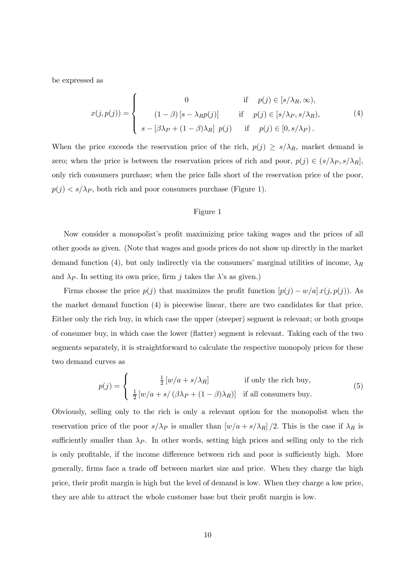be expressed as

$$
x(j, p(j)) = \begin{cases} 0 & \text{if } p(j) \in [s/\lambda_R, \infty), \\ (1 - \beta) [s - \lambda_R p(j)] & \text{if } p(j) \in [s/\lambda_P, s/\lambda_R), \\ s - [\beta \lambda_P + (1 - \beta) \lambda_R] p(j) & \text{if } p(j) \in [0, s/\lambda_P). \end{cases}
$$
(4)

When the price exceeds the reservation price of the rich,  $p(j) \geq s/\lambda_R$ , market demand is zero; when the price is between the reservation prices of rich and poor,  $p(j) \in (s/\lambda_P, s/\lambda_R]$ , only rich consumers purchase; when the price falls short of the reservation price of the poor,  $p(j) \lt s/\lambda_P$ , both rich and poor consumers purchase (Figure 1).

#### Figure 1

Now consider a monopolist's profit maximizing price taking wages and the prices of all other goods as given. (Note that wages and goods prices do not show up directly in the market demand function (4), but only indirectly via the consumers' marginal utilities of income,  $\lambda_R$ and  $\lambda_P$ . In setting its own price, firm j takes the  $\lambda$ 's as given.)

Firms choose the price  $p(j)$  that maximizes the profit function  $[p(j) - w/a] x(j, p(j))$ . As the market demand function (4) is piecewise linear, there are two candidates for that price. Either only the rich buy, in which case the upper (steeper) segment is relevant; or both groups of consumer buy, in which case the lower (flatter) segment is relevant. Taking each of the two segments separately, it is straightforward to calculate the respective monopoly prices for these two demand curves as

$$
p(j) = \begin{cases} \frac{1}{2} [w/a + s/\lambda_R] & \text{if only the rich buy,} \\ \frac{1}{2} [w/a + s/(\beta \lambda_P + (1 - \beta)\lambda_R)] & \text{if all consumers buy.} \end{cases}
$$
(5)

Obviously, selling only to the rich is only a relevant option for the monopolist when the reservation price of the poor  $s/\lambda_P$  is smaller than  $[w/a + s/\lambda_R]/2$ . This is the case if  $\lambda_R$  is sufficiently smaller than  $\lambda_P$ . In other words, setting high prices and selling only to the rich is only profitable, if the income difference between rich and poor is sufficiently high. More generally, firms face a trade off between market size and price. When they charge the high price, their profit margin is high but the level of demand is low. When they charge a low price, they are able to attract the whole customer base but their profit margin is low.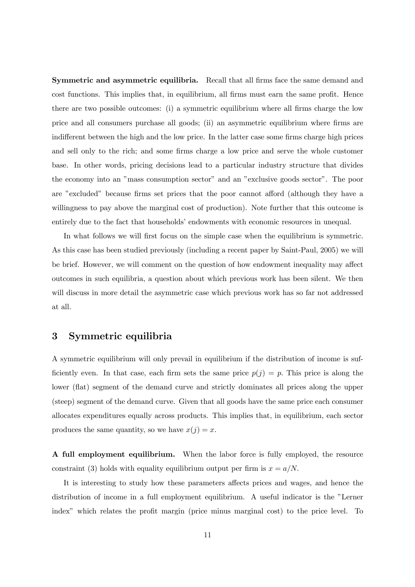Symmetric and asymmetric equilibria. Recall that all firms face the same demand and cost functions. This implies that, in equilibrium, all firms must earn the same profit. Hence there are two possible outcomes: (i) a symmetric equilibrium where all firms charge the low price and all consumers purchase all goods; (ii) an asymmetric equilibrium where firms are indifferent between the high and the low price. In the latter case some firms charge high prices and sell only to the rich; and some firms charge a low price and serve the whole customer base. In other words, pricing decisions lead to a particular industry structure that divides the economy into an "mass consumption sector" and an "exclusive goods sector". The poor are "excluded" because firms set prices that the poor cannot afford (although they have a willingness to pay above the marginal cost of production). Note further that this outcome is entirely due to the fact that households' endowments with economic resources in unequal.

In what follows we will first focus on the simple case when the equilibrium is symmetric. As this case has been studied previously (including a recent paper by Saint-Paul, 2005) we will be brief. However, we will comment on the question of how endowment inequality may affect outcomes in such equilibria, a question about which previous work has been silent. We then will discuss in more detail the asymmetric case which previous work has so far not addressed at all.

# 3 Symmetric equilibria

A symmetric equilibrium will only prevail in equilibrium if the distribution of income is sufficiently even. In that case, each firm sets the same price  $p(j) = p$ . This price is along the lower (flat) segment of the demand curve and strictly dominates all prices along the upper (steep) segment of the demand curve. Given that all goods have the same price each consumer allocates expenditures equally across products. This implies that, in equilibrium, each sector produces the same quantity, so we have  $x(j) = x$ .

A full employment equilibrium. When the labor force is fully employed, the resource constraint (3) holds with equality equilibrium output per firm is  $x = a/N$ .

It is interesting to study how these parameters affects prices and wages, and hence the distribution of income in a full employment equilibrium. A useful indicator is the "Lerner index" which relates the profit margin (price minus marginal cost) to the price level. To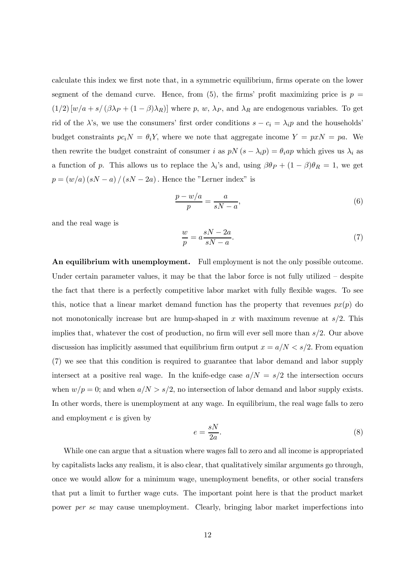calculate this index we first note that, in a symmetric equilibrium, firms operate on the lower segment of the demand curve. Hence, from (5), the firms' profit maximizing price is  $p =$  $(1/2)$   $[w/a + s/(\beta\lambda_P + (1 - \beta)\lambda_R)]$  where p, w,  $\lambda_P$ , and  $\lambda_R$  are endogenous variables. To get rid of the  $\lambda$ 's, we use the consumers' first order conditions  $s - c_i = \lambda_i p$  and the households' budget constraints  $pc_i = \theta_i$ , where we note that aggregate income  $Y = pxN = pa$ . We then rewrite the budget constraint of consumer i as  $pN(s - \lambda_i p) = \theta_i ap$  which gives us  $\lambda_i$  as a function of p. This allows us to replace the  $\lambda_i$ 's and, using  $\beta \theta_P + (1 - \beta)\theta_R = 1$ , we get  $p = (w/a) (sN - a) / (sN - 2a)$ . Hence the "Lerner index" is

$$
\frac{p - w/a}{p} = \frac{a}{sN - a},\tag{6}
$$

and the real wage is

$$
\frac{w}{p} = a \frac{sN - 2a}{sN - a}.\tag{7}
$$

An equilibrium with unemployment. Full employment is not the only possible outcome. Under certain parameter values, it may be that the labor force is not fully utilized – despite the fact that there is a perfectly competitive labor market with fully flexible wages. To see this, notice that a linear market demand function has the property that revenues  $px(p)$  do not monotonically increase but are hump-shaped in x with maximum revenue at  $s/2$ . This implies that, whatever the cost of production, no firm will ever sell more than  $s/2$ . Our above discussion has implicitly assumed that equilibrium firm output  $x = a/N < s/2$ . From equation (7) we see that this condition is required to guarantee that labor demand and labor supply intersect at a positive real wage. In the knife-edge case  $a/N = s/2$  the intersection occurs when  $w/p = 0$ ; and when  $a/N > s/2$ , no intersection of labor demand and labor supply exists. In other words, there is unemployment at any wage. In equilibrium, the real wage falls to zero and employment e is given by

$$
e = \frac{sN}{2a}.\tag{8}
$$

While one can argue that a situation where wages fall to zero and all income is appropriated by capitalists lacks any realism, it is also clear, that qualitatively similar arguments go through, once we would allow for a minimum wage, unemployment benefits, or other social transfers that put a limit to further wage cuts. The important point here is that the product market power per se may cause unemployment. Clearly, bringing labor market imperfections into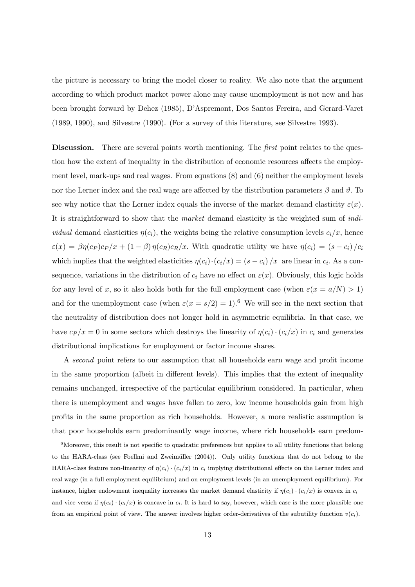the picture is necessary to bring the model closer to reality. We also note that the argument according to which product market power alone may cause unemployment is not new and has been brought forward by Dehez (1985), D'Aspremont, Dos Santos Fereira, and Gerard-Varet (1989, 1990), and Silvestre (1990). (For a survey of this literature, see Silvestre 1993).

Discussion. There are several points worth mentioning. The *first* point relates to the question how the extent of inequality in the distribution of economic resources affects the employment level, mark-ups and real wages. From equations (8) and (6) neither the employment levels nor the Lerner index and the real wage are affected by the distribution parameters  $\beta$  and  $\vartheta$ . To see why notice that the Lerner index equals the inverse of the market demand elasticity  $\varepsilon(x)$ . It is straightforward to show that the market demand elasticity is the weighted sum of individual demand elasticities  $\eta(c_i)$ , the weights being the relative consumption levels  $c_i/x$ , hence  $\varepsilon(x) = \beta \eta(c_P) c_P / x + (1 - \beta) \eta(c_R) c_R / x$ . With quadratic utility we have  $\eta(c_i) = (s - c_i) / c_i$ which implies that the weighted elasticities  $\eta(c_i) \cdot (c_i/x) = (s - c_i) / x$  are linear in  $c_i$ . As a consequence, variations in the distribution of  $c_i$  have no effect on  $\varepsilon(x)$ . Obviously, this logic holds for any level of x, so it also holds both for the full employment case (when  $\varepsilon(x = a/N) > 1$ ) and for the unemployment case (when  $\varepsilon(x = s/2) = 1$ ).<sup>6</sup> We will see in the next section that the neutrality of distribution does not longer hold in asymmetric equilibria. In that case, we have  $c_P /x = 0$  in some sectors which destroys the linearity of  $\eta(c_i) \cdot (c_i /x)$  in  $c_i$  and generates distributional implications for employment or factor income shares.

A second point refers to our assumption that all households earn wage and profit income in the same proportion (albeit in different levels). This implies that the extent of inequality remains unchanged, irrespective of the particular equilibrium considered. In particular, when there is unemployment and wages have fallen to zero, low income households gain from high profits in the same proportion as rich households. However, a more realistic assumption is that poor households earn predominantly wage income, where rich households earn predom-

 $6$ Moreover, this result is not specific to quadratic preferences but applies to all utility functions that belong to the HARA-class (see Foellmi and Zweim¨uller (2004)). Only utility functions that do not belong to the HARA-class feature non-linearity of  $\eta(c_i) \cdot (c_i/x)$  in  $c_i$  implying distributional effects on the Lerner index and real wage (in a full employment equilibrium) and on employment levels (in an unemployment equilibrium). For instance, higher endowment inequality increases the market demand elasticity if  $\eta(c_i) \cdot (c_i/x)$  is convex in  $c_i$ and vice versa if  $\eta(c_i) \cdot (c_i/x)$  is concave in  $c_i$ . It is hard to say, however, which case is the more plausible one from an empirical point of view. The answer involves higher order-derivatives of the subutility function  $v(c_i)$ .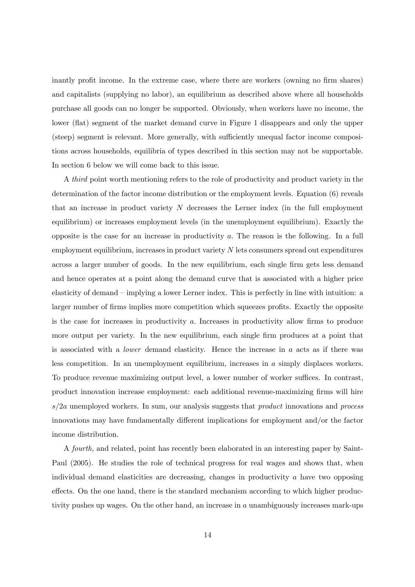inantly profit income. In the extreme case, where there are workers (owning no firm shares) and capitalists (supplying no labor), an equilibrium as described above where all households purchase all goods can no longer be supported. Obviously, when workers have no income, the lower (flat) segment of the market demand curve in Figure 1 disappears and only the upper (steep) segment is relevant. More generally, with sufficiently unequal factor income compositions across households, equilibria of types described in this section may not be supportable. In section 6 below we will come back to this issue.

A third point worth mentioning refers to the role of productivity and product variety in the determination of the factor income distribution or the employment levels. Equation (6) reveals that an increase in product variety  $N$  decreases the Lerner index (in the full employment equilibrium) or increases employment levels (in the unemployment equilibrium). Exactly the opposite is the case for an increase in productivity a. The reason is the following. In a full employment equilibrium, increases in product variety  $N$  lets consumers spread out expenditures across a larger number of goods. In the new equilibrium, each single firm gets less demand and hence operates at a point along the demand curve that is associated with a higher price elasticity of demand — implying a lower Lerner index. This is perfectly in line with intuition: a larger number of firms implies more competition which squeezes profits. Exactly the opposite is the case for increases in productivity a. Increases in productivity allow firms to produce more output per variety. In the new equilibrium, each single firm produces at a point that is associated with a *lower* demand elasticity. Hence the increase in  $a$  acts as if there was less competition. In an unemployment equilibrium, increases in a simply displaces workers. To produce revenue maximizing output level, a lower number of worker suffices. In contrast, product innovation increase employment: each additional revenue-maximizing firms will hire  $s/2a$  unemployed workers. In sum, our analysis suggests that *product* innovations and *process* innovations may have fundamentally different implications for employment and/or the factor income distribution.

A fourth, and related, point has recently been elaborated in an interesting paper by Saint-Paul (2005). He studies the role of technical progress for real wages and shows that, when individual demand elasticities are decreasing, changes in productivity a have two opposing effects. On the one hand, there is the standard mechanism according to which higher productivity pushes up wages. On the other hand, an increase in a unambiguously increases mark-ups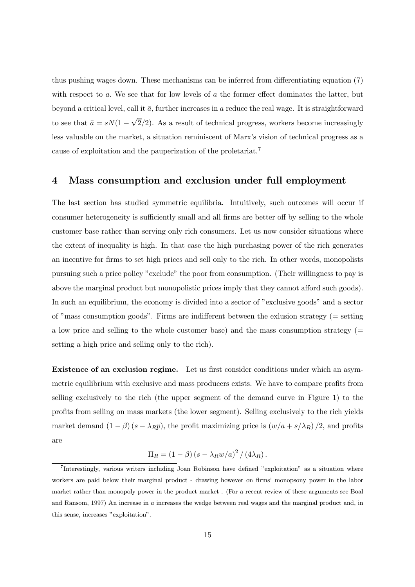thus pushing wages down. These mechanisms can be inferred from differentiating equation (7) with respect to a. We see that for low levels of a the former effect dominates the latter, but beyond a critical level, call it  $\bar{a}$ , further increases in a reduce the real wage. It is straightforward to see that  $\bar{a} = sN(1 - \sqrt{2}/2)$ . As a result of technical progress, workers become increasingly less valuable on the market, a situation reminiscent of Marx's vision of technical progress as a cause of exploitation and the pauperization of the proletariat.<sup>7</sup>

## 4 Mass consumption and exclusion under full employment

The last section has studied symmetric equilibria. Intuitively, such outcomes will occur if consumer heterogeneity is sufficiently small and all firms are better off by selling to the whole customer base rather than serving only rich consumers. Let us now consider situations where the extent of inequality is high. In that case the high purchasing power of the rich generates an incentive for firms to set high prices and sell only to the rich. In other words, monopolists pursuing such a price policy "exclude" the poor from consumption. (Their willingness to pay is above the marginal product but monopolistic prices imply that they cannot afford such goods). In such an equilibrium, the economy is divided into a sector of "exclusive goods" and a sector of "mass consumption goods". Firms are indifferent between the exlusion strategy (= setting a low price and selling to the whole customer base) and the mass consumption strategy (= setting a high price and selling only to the rich).

Existence of an exclusion regime. Let us first consider conditions under which an asymmetric equilibrium with exclusive and mass producers exists. We have to compare profits from selling exclusively to the rich (the upper segment of the demand curve in Figure 1) to the profits from selling on mass markets (the lower segment). Selling exclusively to the rich yields market demand  $(1 - \beta)(s - \lambda_R p)$ , the profit maximizing price is  $(w/a + s/\lambda_R)/2$ , and profits are

$$
\Pi_R = (1 - \beta) (s - \lambda_R w/a)^2 / (4\lambda_R).
$$

<sup>7</sup>Interestingly, various writers including Joan Robinson have defined "exploitation" as a situation where workers are paid below their marginal product - drawing however on firms' monopsony power in the labor market rather than monopoly power in the product market . (For a recent review of these arguments see Boal and Ransom, 1997) An increase in a increases the wedge between real wages and the marginal product and, in this sense, increases "exploitation".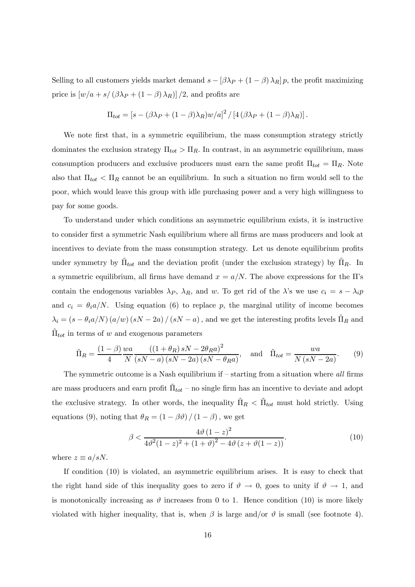Selling to all customers yields market demand  $s - [\beta \lambda_P + (1 - \beta) \lambda_R] p$ , the profit maximizing price is  $[w/a + s/(\beta \lambda_P + (1 - \beta) \lambda_R)]/2$ , and profits are

$$
\Pi_{tot} = [s - (\beta \lambda_P + (1 - \beta) \lambda_R) w/a]^2 / [4 (\beta \lambda_P + (1 - \beta) \lambda_R)].
$$

We note first that, in a symmetric equilibrium, the mass consumption strategy strictly dominates the exclusion strategy  $\Pi_{tot} > \Pi_R$ . In contrast, in an asymmetric equilibrium, mass consumption producers and exclusive producers must earn the same profit  $\Pi_{tot} = \Pi_R$ . Note also that  $\Pi_{tot} < \Pi_R$  cannot be an equilibrium. In such a situation no firm would sell to the poor, which would leave this group with idle purchasing power and a very high willingness to pay for some goods.

To understand under which conditions an asymmetric equilibrium exists, it is instructive to consider first a symmetric Nash equilibrium where all firms are mass producers and look at incentives to deviate from the mass consumption strategy. Let us denote equilibrium profits under symmetry by  $\Pi_{tot}$  and the deviation profit (under the exclusion strategy) by  $\Pi_R$ . In a symmetric equilibrium, all firms have demand  $x = a/N$ . The above expressions for the  $\Pi$ 's contain the endogenous variables  $\lambda_P$ ,  $\lambda_R$ , and w. To get rid of the  $\lambda$ 's we use  $c_i = s - \lambda_i p$ and  $c_i = \theta_i a/N$ . Using equation (6) to replace p, the marginal utility of income becomes  $\lambda_i = (s - \theta_i a/N) (a/w) (sN - 2a) / (sN - a)$ , and we get the interesting profits levels  $\tilde{\Pi}_R$  and  $\Pi_{tot}$  in terms of w and exogenous parameters

$$
\tilde{\Pi}_R = \frac{(1-\beta)}{4} \frac{wa}{N} \frac{\left((1+\theta_R)sN - 2\theta_R a\right)^2}{\left(sN - a\right)\left(sN - 2a\right)\left(sN - \theta_R a\right)}, \quad \text{and} \quad \tilde{\Pi}_{tot} = \frac{wa}{N\left(sN - 2a\right)}.\tag{9}
$$

The symmetric outcome is a Nash equilibrium if  $-$  starting from a situation where all firms are mass producers and earn profit  $\Pi_{tot}$  – no single firm has an incentive to deviate and adopt the exclusive strategy. In other words, the inequality  $\Pi_R < \tilde{\Pi}_{tot}$  must hold strictly. Using equations (9), noting that  $\theta_R = (1 - \beta \vartheta) / (1 - \beta)$ , we get

$$
\beta < \frac{4\vartheta (1-z)^2}{4\vartheta^2 (1-z)^2 + (1+\vartheta)^2 - 4\vartheta (z+\vartheta(1-z))}.\tag{10}
$$

where  $z \equiv a/sN$ .

If condition (10) is violated, an asymmetric equilibrium arises. It is easy to check that the right hand side of this inequality goes to zero if  $\vartheta \to 0$ , goes to unity if  $\vartheta \to 1$ , and is monotonically increasing as  $\vartheta$  increases from 0 to 1. Hence condition (10) is more likely violated with higher inequality, that is, when  $\beta$  is large and/or  $\vartheta$  is small (see footnote 4).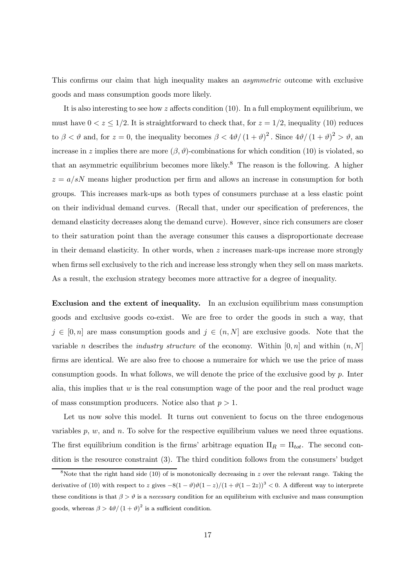This confirms our claim that high inequality makes an asymmetric outcome with exclusive goods and mass consumption goods more likely.

It is also interesting to see how  $z$  affects condition  $(10)$ . In a full employment equilibrium, we must have  $0 < z \leq 1/2$ . It is straightforward to check that, for  $z = 1/2$ , inequality (10) reduces to  $\beta < \vartheta$  and, for  $z = 0$ , the inequality becomes  $\beta < 4\vartheta/(1+\vartheta)^2$ . Since  $4\vartheta/(1+\vartheta)^2 > \vartheta$ , and increase in z implies there are more  $(\beta, \vartheta)$ -combinations for which condition (10) is violated, so that an asymmetric equilibrium becomes more likely.<sup>8</sup> The reason is the following. A higher  $z = a/sN$  means higher production per firm and allows an increase in consumption for both groups. This increases mark-ups as both types of consumers purchase at a less elastic point on their individual demand curves. (Recall that, under our specification of preferences, the demand elasticity decreases along the demand curve). However, since rich consumers are closer to their saturation point than the average consumer this causes a disproportionate decrease in their demand elasticity. In other words, when  $z$  increases mark-ups increase more strongly when firms sell exclusively to the rich and increase less strongly when they sell on mass markets. As a result, the exclusion strategy becomes more attractive for a degree of inequality.

Exclusion and the extent of inequality. In an exclusion equilibrium mass consumption goods and exclusive goods co-exist. We are free to order the goods in such a way, that  $j \in [0, n]$  are mass consumption goods and  $j \in (n, N]$  are exclusive goods. Note that the variable *n* describes the *industry structure* of the economy. Within  $[0, n]$  and within  $(n, N]$ firms are identical. We are also free to choose a numeraire for which we use the price of mass consumption goods. In what follows, we will denote the price of the exclusive good by  $p$ . Inter alia, this implies that  $w$  is the real consumption wage of the poor and the real product wage of mass consumption producers. Notice also that  $p > 1$ .

Let us now solve this model. It turns out convenient to focus on the three endogenous variables  $p, w$ , and  $n$ . To solve for the respective equilibrium values we need three equations. The first equilibrium condition is the firms' arbitrage equation  $\Pi_R = \Pi_{tot}$ . The second condition is the resource constraint (3). The third condition follows from the consumers' budget

<sup>&</sup>lt;sup>8</sup>Note that the right hand side (10) of is monotonically decreasing in  $z$  over the relevant range. Taking the derivative of (10) with respect to z gives  $-8(1-\vartheta)\vartheta(1-z)/(1+\vartheta(1-2z))^3 < 0$ . A different way to interprete these conditions is that  $\beta > \theta$  is a necessary condition for an equilibrium with exclusive and mass consumption goods, whereas  $\beta > 4\vartheta/(1+\vartheta)^2$  is a sufficient condition.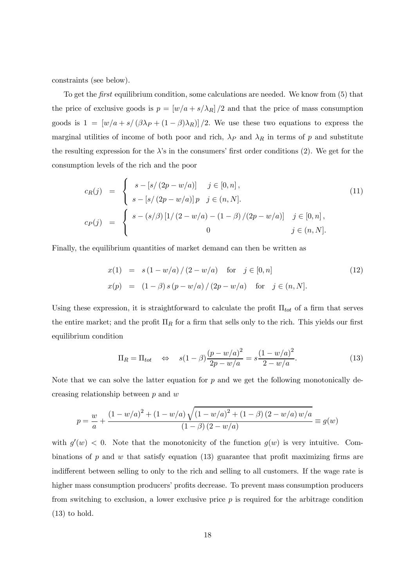constraints (see below).

To get the *first* equilibrium condition, some calculations are needed. We know from (5) that the price of exclusive goods is  $p = [w/a + s/\lambda_R]/2$  and that the price of mass consumption goods is  $1 = [w/a + s/(\beta \lambda_P + (1 - \beta)\lambda_R)]/2$ . We use these two equations to express the marginal utilities of income of both poor and rich,  $\lambda_P$  and  $\lambda_R$  in terms of p and substitute the resulting expression for the  $\lambda$ 's in the consumers' first order conditions (2). We get for the consumption levels of the rich and the poor

$$
c_R(j) = \begin{cases} s - [s/(2p - w/a)] & j \in [0, n], \\ s - [s/(2p - w/a)]p & j \in (n, N]. \end{cases}
$$
  
\n
$$
c_P(j) = \begin{cases} s - (s/\beta) [1/(2 - w/a) - (1 - \beta)/(2p - w/a)] & j \in [0, n], \\ 0 & j \in (n, N]. \end{cases}
$$
\n(11)

Finally, the equilibrium quantities of market demand can then be written as

$$
x(1) = s(1 - w/a) / (2 - w/a) \text{ for } j \in [0, n]
$$
  
\n
$$
x(p) = (1 - \beta) s (p - w/a) / (2p - w/a) \text{ for } j \in (n, N].
$$
\n(12)

Using these expression, it is straightforward to calculate the profit  $\Pi_{tot}$  of a firm that serves the entire market; and the profit  $\Pi_R$  for a firm that sells only to the rich. This yields our first equilibrium condition

$$
\Pi_R = \Pi_{tot} \quad \Leftrightarrow \quad s(1-\beta)\frac{(p-w/a)^2}{2p-w/a} = s\frac{(1-w/a)^2}{2-w/a}.\tag{13}
$$

Note that we can solve the latter equation for  $p$  and we get the following monotonically decreasing relationship between p and w

$$
p = \frac{w}{a} + \frac{(1 - w/a)^2 + (1 - w/a)\sqrt{(1 - w/a)^2 + (1 - \beta)(2 - w/a)w/a}}{(1 - \beta)(2 - w/a)} \equiv g(w)
$$

with  $g'(w) < 0$ . Note that the monotonicity of the function  $g(w)$  is very intuitive. Combinations of p and w that satisfy equation (13) guarantee that profit maximizing firms are indifferent between selling to only to the rich and selling to all customers. If the wage rate is higher mass consumption producers' profits decrease. To prevent mass consumption producers from switching to exclusion, a lower exclusive price  $p$  is required for the arbitrage condition  $(13)$  to hold.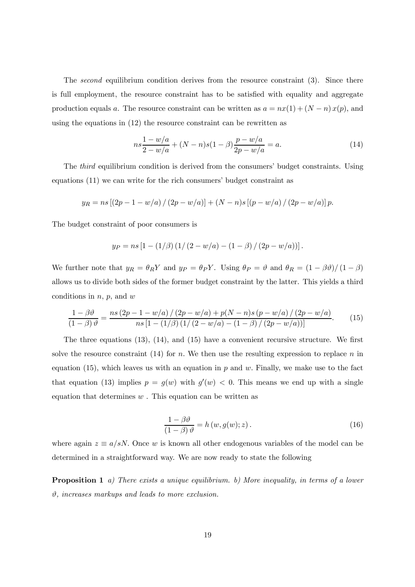The second equilibrium condition derives from the resource constraint (3). Since there is full employment, the resource constraint has to be satisfied with equality and aggregate production equals a. The resource constraint can be written as  $a = nx(1) + (N - n)x(p)$ , and using the equations in (12) the resource constraint can be rewritten as

$$
ns\frac{1-w/a}{2-w/a} + (N-n)s(1-\beta)\frac{p-w/a}{2p-w/a} = a.
$$
\n(14)

The *third* equilibrium condition is derived from the consumers' budget constraints. Using equations (11) we can write for the rich consumers' budget constraint as

$$
y_R = ns [(2p - 1 - w/a) / (2p - w/a)] + (N - n)s [(p - w/a) / (2p - w/a)] p.
$$

The budget constraint of poor consumers is

$$
y_P = ns [1 - (1/\beta) (1/(2 - w/a) - (1 - \beta) / (2p - w/a))].
$$

We further note that  $y_R = \theta_R Y$  and  $y_P = \theta_P Y$ . Using  $\theta_P = \vartheta$  and  $\theta_R = (1 - \beta \vartheta)/(1 - \beta)$ allows us to divide both sides of the former budget constraint by the latter. This yields a third conditions in  $n, p$ , and  $w$ 

$$
\frac{1 - \beta \vartheta}{(1 - \beta)\vartheta} = \frac{ns(2p - 1 - w/a)/(2p - w/a) + p(N - n)s(p - w/a)/(2p - w/a)}{ns[1 - (1/\beta)(1/(2 - w/a) - (1 - \beta)/(2p - w/a))]}.
$$
(15)

The three equations (13), (14), and (15) have a convenient recursive structure. We first solve the resource constraint (14) for n. We then use the resulting expression to replace n in equation (15), which leaves us with an equation in  $p$  and  $w$ . Finally, we make use to the fact that equation (13) implies  $p = g(w)$  with  $g'(w) < 0$ . This means we end up with a single equation that determines  $w$ . This equation can be written as

$$
\frac{1 - \beta \vartheta}{(1 - \beta)\vartheta} = h(w, g(w); z).
$$
 (16)

where again  $z \equiv a/sN$ . Once w is known all other endogenous variables of the model can be determined in a straightforward way. We are now ready to state the following

Proposition 1 a) There exists a unique equilibrium. b) More inequality, in terms of a lower  $\vartheta$ , increases markups and leads to more exclusion.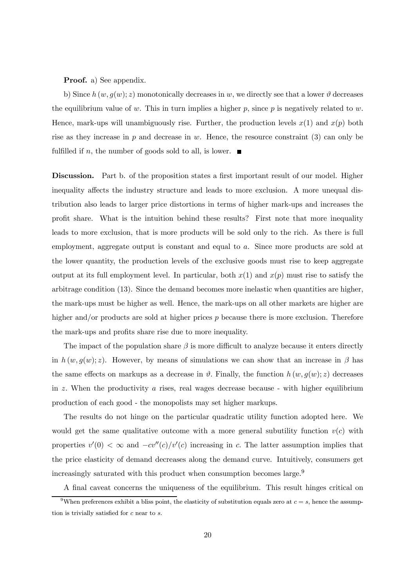#### Proof. a) See appendix.

b) Since  $h(w, g(w); z)$  monotonically decreases in w, we directly see that a lower  $\vartheta$  decreases the equilibrium value of w. This in turn implies a higher  $p$ , since  $p$  is negatively related to w. Hence, mark-ups will unambiguously rise. Further, the production levels  $x(1)$  and  $x(p)$  both rise as they increase in  $p$  and decrease in  $w$ . Hence, the resource constraint (3) can only be fulfilled if n, the number of goods sold to all, is lower.  $\blacksquare$ 

Discussion. Part b. of the proposition states a first important result of our model. Higher inequality affects the industry structure and leads to more exclusion. A more unequal distribution also leads to larger price distortions in terms of higher mark-ups and increases the profit share. What is the intuition behind these results? First note that more inequality leads to more exclusion, that is more products will be sold only to the rich. As there is full employment, aggregate output is constant and equal to a. Since more products are sold at the lower quantity, the production levels of the exclusive goods must rise to keep aggregate output at its full employment level. In particular, both  $x(1)$  and  $x(p)$  must rise to satisfy the arbitrage condition (13). Since the demand becomes more inelastic when quantities are higher, the mark-ups must be higher as well. Hence, the mark-ups on all other markets are higher are higher and/or products are sold at higher prices p because there is more exclusion. Therefore the mark-ups and profits share rise due to more inequality.

The impact of the population share  $\beta$  is more difficult to analyze because it enters directly in  $h(w, g(w); z)$ . However, by means of simulations we can show that an increase in  $\beta$  has the same effects on markups as a decrease in  $\vartheta$ . Finally, the function  $h(w, g(w); z)$  decreases in z. When the productivity  $\alpha$  rises, real wages decrease because - with higher equilibrium production of each good - the monopolists may set higher markups.

The results do not hinge on the particular quadratic utility function adopted here. We would get the same qualitative outcome with a more general subutility function  $v(c)$  with properties  $v'(0) < \infty$  and  $-cv''(c)/v'(c)$  increasing in c. The latter assumption implies that the price elasticity of demand decreases along the demand curve. Intuitively, consumers get increasingly saturated with this product when consumption becomes large.<sup>9</sup>

A final caveat concerns the uniqueness of the equilibrium. This result hinges critical on

<sup>&</sup>lt;sup>9</sup>When preferences exhibit a bliss point, the elasticity of substitution equals zero at  $c = s$ , hence the assumption is trivially satisfied for c near to s.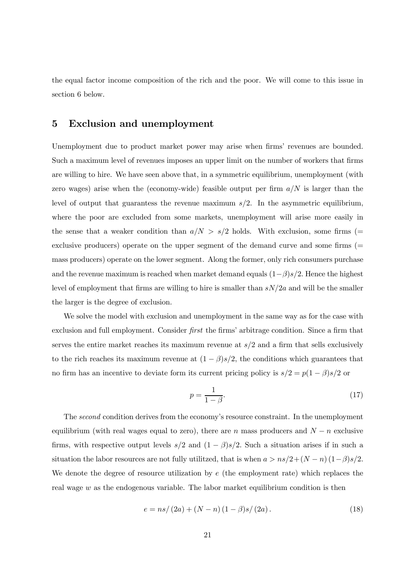the equal factor income composition of the rich and the poor. We will come to this issue in section 6 below.

# 5 Exclusion and unemployment

Unemployment due to product market power may arise when firms' revenues are bounded. Such a maximum level of revenues imposes an upper limit on the number of workers that firms are willing to hire. We have seen above that, in a symmetric equilibrium, unemployment (with zero wages) arise when the (economy-wide) feasible output per firm  $a/N$  is larger than the level of output that guarantess the revenue maximum  $s/2$ . In the asymmetric equilibrium, where the poor are excluded from some markets, unemployment will arise more easily in the sense that a weaker condition than  $a/N > s/2$  holds. With exclusion, some firms (= exclusive producers) operate on the upper segment of the demand curve and some firms (= mass producers) operate on the lower segment. Along the former, only rich consumers purchase and the revenue maximum is reached when market demand equals  $(1-\beta)s/2$ . Hence the highest level of employment that firms are willing to hire is smaller than  $sN/2a$  and will be the smaller the larger is the degree of exclusion.

We solve the model with exclusion and unemployment in the same way as for the case with exclusion and full employment. Consider *first* the firms' arbitrage condition. Since a firm that serves the entire market reaches its maximum revenue at  $s/2$  and a firm that sells exclusively to the rich reaches its maximum revenue at  $(1 - \beta)s/2$ , the conditions which guarantees that no firm has an incentive to deviate form its current pricing policy is  $s/2 = p(1 - \beta)s/2$  or

$$
p = \frac{1}{1 - \beta}.\tag{17}
$$

The second condition derives from the economy's resource constraint. In the unemployment equilibrium (with real wages equal to zero), there are n mass producers and  $N - n$  exclusive firms, with respective output levels  $s/2$  and  $(1 - \beta)s/2$ . Such a situation arises if in such a situation the labor resources are not fully utilitzed, that is when  $a > ns/2 + (N - n)(1 - \beta)s/2$ . We denote the degree of resource utilization by e (the employment rate) which replaces the real wage  $w$  as the endogenous variable. The labor market equilibrium condition is then

$$
e = ns/(2a) + (N - n)(1 - \beta)s/(2a).
$$
 (18)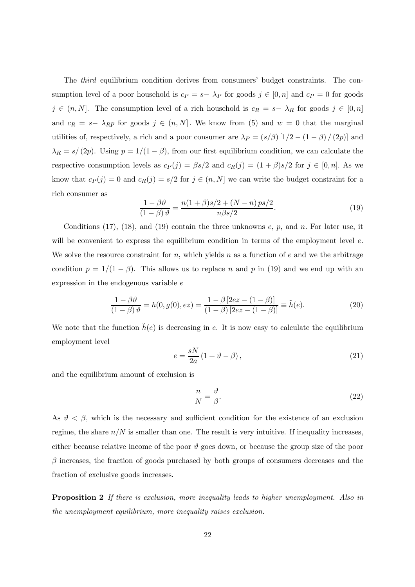The third equilibrium condition derives from consumers' budget constraints. The consumption level of a poor household is  $c_P = s-\lambda_P$  for goods  $j \in [0, n]$  and  $c_P = 0$  for goods  $j \in (n, N]$ . The consumption level of a rich household is  $c_R = s - \lambda_R$  for goods  $j \in [0, n]$ and  $c_R = s-\lambda_R p$  for goods  $j \in (n, N]$ . We know from (5) and  $w = 0$  that the marginal utilities of, respectively, a rich and a poor consumer are  $\lambda_P = (s/\beta) [1/2 - (1 - \beta) / (2p)]$  and  $\lambda_R = s/(2p)$ . Using  $p = 1/(1 - \beta)$ , from our first equilibrium condition, we can calculate the respective consumption levels as  $c_P(j) = \beta s/2$  and  $c_R(j) = (1 + \beta)s/2$  for  $j \in [0, n]$ . As we know that  $c_P(j) = 0$  and  $c_R(j) = s/2$  for  $j \in (n, N]$  we can write the budget constraint for a rich consumer as

$$
\frac{1-\beta\vartheta}{(1-\beta)\vartheta} = \frac{n(1+\beta)s/2 + (N-n)ps/2}{n\beta s/2}.
$$
\n(19)

Conditions  $(17)$ ,  $(18)$ , and  $(19)$  contain the three unknowns  $e$ ,  $p$ , and  $n$ . For later use, it will be convenient to express the equilibrium condition in terms of the employment level  $e$ . We solve the resource constraint for  $n$ , which yields  $n$  as a function of  $e$  and we the arbitrage condition  $p = 1/(1 - \beta)$ . This allows us to replace n and p in (19) and we end up with an expression in the endogenous variable e

$$
\frac{1 - \beta \vartheta}{(1 - \beta)\vartheta} = h(0, g(0), ez) = \frac{1 - \beta [2ez - (1 - \beta)]}{(1 - \beta) [2ez - (1 - \beta)]} \equiv \tilde{h}(e).
$$
\n(20)

We note that the function  $\tilde{h}(e)$  is decreasing in e. It is now easy to calculate the equilibrium employment level

$$
e = \frac{sN}{2a} \left( 1 + \vartheta - \beta \right),\tag{21}
$$

and the equilibrium amount of exclusion is

$$
\frac{n}{N} = \frac{\vartheta}{\beta}.\tag{22}
$$

As  $\vartheta < \beta$ , which is the necessary and sufficient condition for the existence of an exclusion regime, the share  $n/N$  is smaller than one. The result is very intuitive. If inequality increases, either because relative income of the poor  $\vartheta$  goes down, or because the group size of the poor  $\beta$  increases, the fraction of goods purchased by both groups of consumers decreases and the fraction of exclusive goods increases.

**Proposition 2** If there is exclusion, more inequality leads to higher unemployment. Also in the unemployment equilibrium, more inequality raises exclusion.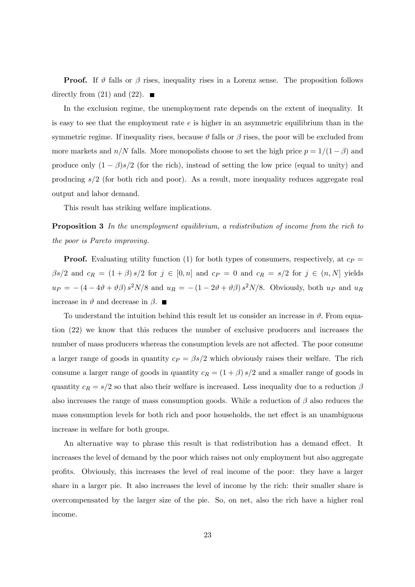**Proof.** If  $\vartheta$  falls or  $\beta$  rises, inequality rises in a Lorenz sense. The proposition follows directly from (21) and (22).  $\blacksquare$ 

In the exclusion regime, the unemployment rate depends on the extent of inequality. It is easy to see that the employment rate  $e$  is higher in an asymmetric equilibrium than in the symmetric regime. If inequality rises, because  $\vartheta$  falls or  $\beta$  rises, the poor will be excluded from more markets and  $n/N$  falls. More monopolists choose to set the high price  $p = 1/(1 - \beta)$  and produce only  $(1 - \beta)s/2$  (for the rich), instead of setting the low price (equal to unity) and producing s/2 (for both rich and poor). As a result, more inequality reduces aggregate real output and labor demand.

This result has striking welfare implications.

**Proposition 3** In the unemployment equilibrium, a redistribution of income from the rich to the poor is Pareto improving.

**Proof.** Evaluating utility function (1) for both types of consumers, respectively, at  $c_P$  =  $\beta s/2$  and  $c_R = (1 + \beta) s/2$  for  $j \in [0, n]$  and  $c_P = 0$  and  $c_R = s/2$  for  $j \in (n, N]$  yields  $u_P = -(4 - 4\vartheta + \vartheta \beta) s^2 N/8$  and  $u_R = -(1 - 2\vartheta + \vartheta \beta) s^2 N/8$ . Obviously, both  $u_P$  and  $u_R$ increase in  $\vartheta$  and decrease in  $\beta$ . ■

To understand the intuition behind this result let us consider an increase in  $\vartheta$ . From equation (22) we know that this reduces the number of exclusive producers and increases the number of mass producers whereas the consumption levels are not affected. The poor consume a larger range of goods in quantity  $c_P = \beta s/2$  which obviously raises their welfare. The rich consume a larger range of goods in quantity  $c_R = (1 + \beta) s/2$  and a smaller range of goods in quantity  $c_R = s/2$  so that also their welfare is increased. Less inequality due to a reduction  $\beta$ also increases the range of mass consumption goods. While a reduction of  $\beta$  also reduces the mass consumption levels for both rich and poor households, the net effect is an unambiguous increase in welfare for both groups.

An alternative way to phrase this result is that redistribution has a demand effect. It increases the level of demand by the poor which raises not only employment but also aggregate profits. Obviously, this increases the level of real income of the poor: they have a larger share in a larger pie. It also increases the level of income by the rich: their smaller share is overcompensated by the larger size of the pie. So, on net, also the rich have a higher real income.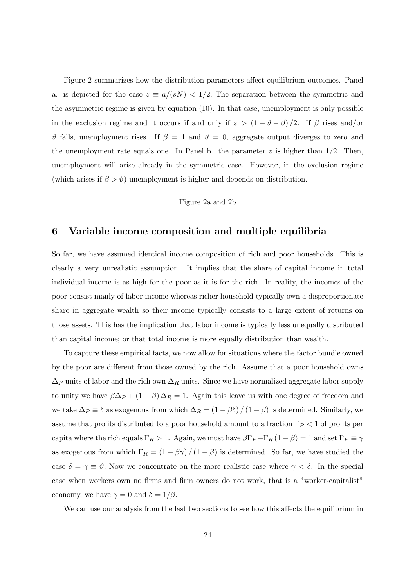Figure 2 summarizes how the distribution parameters affect equilibrium outcomes. Panel a. is depicted for the case  $z \equiv a/(sN) < 1/2$ . The separation between the symmetric and the asymmetric regime is given by equation (10). In that case, unemployment is only possible in the exclusion regime and it occurs if and only if  $z > (1 + \vartheta - \beta)/2$ . If  $\beta$  rises and/or  $\vartheta$  falls, unemployment rises. If  $\beta = 1$  and  $\vartheta = 0$ , aggregate output diverges to zero and the unemployment rate equals one. In Panel b. the parameter  $z$  is higher than  $1/2$ . Then, unemployment will arise already in the symmetric case. However, in the exclusion regime (which arises if  $\beta > \vartheta$ ) unemployment is higher and depends on distribution.

### Figure 2a and 2b

# 6 Variable income composition and multiple equilibria

So far, we have assumed identical income composition of rich and poor households. This is clearly a very unrealistic assumption. It implies that the share of capital income in total individual income is as high for the poor as it is for the rich. In reality, the incomes of the poor consist manly of labor income whereas richer household typically own a disproportionate share in aggregate wealth so their income typically consists to a large extent of returns on those assets. This has the implication that labor income is typically less unequally distributed than capital income; or that total income is more equally distribution than wealth.

To capture these empirical facts, we now allow for situations where the factor bundle owned by the poor are different from those owned by the rich. Assume that a poor household owns  $\Delta_P$  units of labor and the rich own  $\Delta_R$  units. Since we have normalized aggregate labor supply to unity we have  $\beta \Delta_P + (1 - \beta) \Delta_R = 1$ . Again this leave us with one degree of freedom and we take  $\Delta_P \equiv \delta$  as exogenous from which  $\Delta_R = (1 - \beta \delta) / (1 - \beta)$  is determined. Similarly, we assume that profits distributed to a poor household amount to a fraction  $\Gamma_P < 1$  of profits per capita where the rich equals  $\Gamma_R > 1$ . Again, we must have  $\beta \Gamma_P + \Gamma_R (1 - \beta) = 1$  and set  $\Gamma_P \equiv \gamma$ as exogenous from which  $\Gamma_R = (1 - \beta \gamma) / (1 - \beta)$  is determined. So far, we have studied the case  $\delta = \gamma \equiv \vartheta$ . Now we concentrate on the more realistic case where  $\gamma < \delta$ . In the special case when workers own no firms and firm owners do not work, that is a "worker-capitalist" economy, we have  $\gamma = 0$  and  $\delta = 1/\beta$ .

We can use our analysis from the last two sections to see how this affects the equilibrium in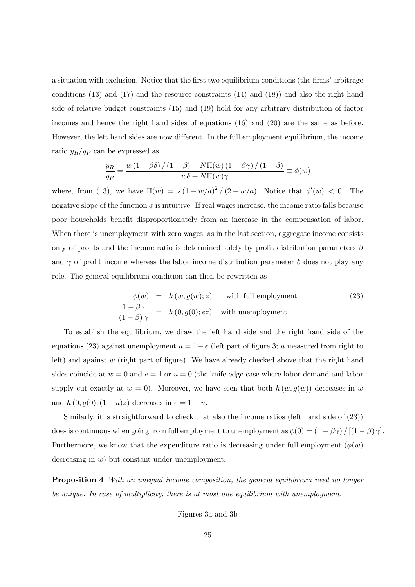a situation with exclusion. Notice that the first two equilibrium conditions (the firms' arbitrage conditions (13) and (17) and the resource constraints (14) and (18)) and also the right hand side of relative budget constraints (15) and (19) hold for any arbitrary distribution of factor incomes and hence the right hand sides of equations (16) and (20) are the same as before. However, the left hand sides are now different. In the full employment equilibrium, the income ratio  $y_R/y_P$  can be expressed as

$$
\frac{y_R}{y_P} = \frac{w\left(1 - \beta\delta\right) / \left(1 - \beta\right) + N\Pi(w)\left(1 - \beta\gamma\right) / \left(1 - \beta\right)}{w\delta + N\Pi(w)\gamma} \equiv \phi(w)
$$

where, from (13), we have  $\Pi(w) = s(1 - w/a)^2/(2 - w/a)$ . Notice that  $\phi'(w) < 0$ . The negative slope of the function  $\phi$  is intuitive. If real wages increase, the income ratio falls because poor households benefit disproportionately from an increase in the compensation of labor. When there is unemployment with zero wages, as in the last section, aggregate income consists only of profits and the income ratio is determined solely by profit distribution parameters  $\beta$ and  $\gamma$  of profit income whereas the labor income distribution parameter  $\delta$  does not play any role. The general equilibrium condition can then be rewritten as

$$
\phi(w) = h(w, g(w); z) \quad \text{with full employment}
$$
\n
$$
\frac{1 - \beta \gamma}{(1 - \beta)\gamma} = h(0, g(0); ez) \quad \text{with un employment}
$$
\n(23)

To establish the equilibrium, we draw the left hand side and the right hand side of the equations (23) against unemployment  $u = 1 - e$  (left part of figure 3; u measured from right to left) and against w (right part of figure). We have already checked above that the right hand sides coincide at  $w = 0$  and  $e = 1$  or  $u = 0$  (the knife-edge case where labor demand and labor supply cut exactly at  $w = 0$ ). Moreover, we have seen that both  $h(w, g(w))$  decreases in w and  $h(0, g(0); (1 - u)z)$  decreases in  $e = 1 - u$ .

Similarly, it is straightforward to check that also the income ratios (left hand side of (23)) does is continuous when going from full employment to unemployment as  $\phi(0) = (1 - \beta \gamma) / [(1 - \beta) \gamma]$ . Furthermore, we know that the expenditure ratio is decreasing under full employment  $(\phi(w))$ decreasing in w) but constant under unemployment.

**Proposition 4** With an unequal income composition, the general equilibrium need no longer be unique. In case of multiplicity, there is at most one equilibrium with unemployment.

Figures 3a and 3b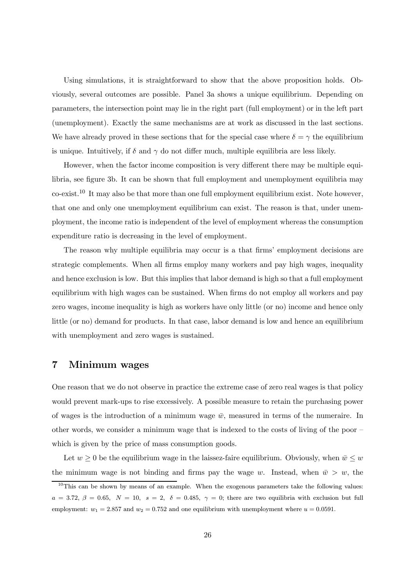Using simulations, it is straightforward to show that the above proposition holds. Obviously, several outcomes are possible. Panel 3a shows a unique equilibrium. Depending on parameters, the intersection point may lie in the right part (full employment) or in the left part (unemployment). Exactly the same mechanisms are at work as discussed in the last sections. We have already proved in these sections that for the special case where  $\delta = \gamma$  the equilibrium is unique. Intuitively, if  $\delta$  and  $\gamma$  do not differ much, multiple equilibria are less likely.

However, when the factor income composition is very different there may be multiple equilibria, see figure 3b. It can be shown that full employment and unemployment equilibria may co-exist.<sup>10</sup> It may also be that more than one full employment equilibrium exist. Note however, that one and only one unemployment equilibrium can exist. The reason is that, under unemployment, the income ratio is independent of the level of employment whereas the consumption expenditure ratio is decreasing in the level of employment.

The reason why multiple equilibria may occur is a that firms' employment decisions are strategic complements. When all firms employ many workers and pay high wages, inequality and hence exclusion is low. But this implies that labor demand is high so that a full employment equilibrium with high wages can be sustained. When firms do not employ all workers and pay zero wages, income inequality is high as workers have only little (or no) income and hence only little (or no) demand for products. In that case, labor demand is low and hence an equilibrium with unemployment and zero wages is sustained.

# 7 Minimum wages

One reason that we do not observe in practice the extreme case of zero real wages is that policy would prevent mark-ups to rise excessively. A possible measure to retain the purchasing power of wages is the introduction of a minimum wage  $\bar{w}$ , measured in terms of the numeraire. In other words, we consider a minimum wage that is indexed to the costs of living of the poor which is given by the price of mass consumption goods.

Let  $w \geq 0$  be the equilibrium wage in the laissez-faire equilibrium. Obviously, when  $\bar{w} \leq w$ the minimum wage is not binding and firms pay the wage w. Instead, when  $\bar{w} > w$ , the

 $10$ This can be shown by means of an example. When the exogenous parameters take the following values:  $a = 3.72, \beta = 0.65, N = 10, s = 2, \delta = 0.485, \gamma = 0$ ; there are two equilibria with exclusion but full employment:  $w_1 = 2.857$  and  $w_2 = 0.752$  and one equilibrium with unemployment where  $u = 0.0591$ .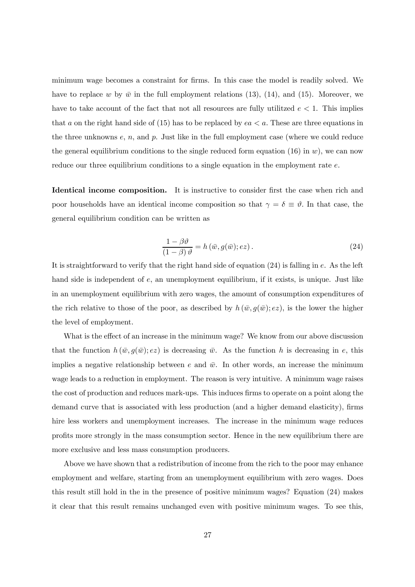minimum wage becomes a constraint for firms. In this case the model is readily solved. We have to replace w by  $\bar{w}$  in the full employment relations (13), (14), and (15). Moreover, we have to take account of the fact that not all resources are fully utilitzed  $e < 1$ . This implies that a on the right hand side of (15) has to be replaced by  $ea < a$ . These are three equations in the three unknowns e, n, and p. Just like in the full employment case (where we could reduce the general equilibrium conditions to the single reduced form equation (16) in w), we can now reduce our three equilibrium conditions to a single equation in the employment rate  $e$ .

Identical income composition. It is instructive to consider first the case when rich and poor households have an identical income composition so that  $\gamma = \delta \equiv \vartheta$ . In that case, the general equilibrium condition can be written as

$$
\frac{1 - \beta \vartheta}{(1 - \beta) \vartheta} = h(\bar{w}, g(\bar{w}); ez).
$$
 (24)

It is straightforward to verify that the right hand side of equation (24) is falling in e. As the left hand side is independent of  $e$ , an unemployment equilibrium, if it exists, is unique. Just like in an unemployment equilibrium with zero wages, the amount of consumption expenditures of the rich relative to those of the poor, as described by  $h(\bar{w}, g(\bar{w}); ez)$ , is the lower the higher the level of employment.

What is the effect of an increase in the minimum wage? We know from our above discussion that the function  $h(\bar{w}, g(\bar{w}); e\bar{z})$  is decreasing  $\bar{w}$ . As the function h is decreasing in e, this implies a negative relationship between e and  $\bar{w}$ . In other words, an increase the minimum wage leads to a reduction in employment. The reason is very intuitive. A minimum wage raises the cost of production and reduces mark-ups. This induces firms to operate on a point along the demand curve that is associated with less production (and a higher demand elasticity), firms hire less workers and unemployment increases. The increase in the minimum wage reduces profits more strongly in the mass consumption sector. Hence in the new equilibrium there are more exclusive and less mass consumption producers.

Above we have shown that a redistribution of income from the rich to the poor may enhance employment and welfare, starting from an unemployment equilibrium with zero wages. Does this result still hold in the in the presence of positive minimum wages? Equation (24) makes it clear that this result remains unchanged even with positive minimum wages. To see this,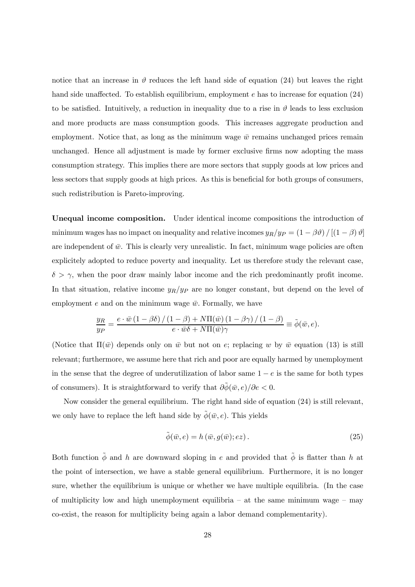notice that an increase in  $\vartheta$  reduces the left hand side of equation (24) but leaves the right hand side unaffected. To establish equilibrium, employment e has to increase for equation  $(24)$ to be satisfied. Intuitively, a reduction in inequality due to a rise in  $\vartheta$  leads to less exclusion and more products are mass consumption goods. This increases aggregate production and employment. Notice that, as long as the minimum wage  $\bar{w}$  remains unchanged prices remain unchanged. Hence all adjustment is made by former exclusive firms now adopting the mass consumption strategy. This implies there are more sectors that supply goods at low prices and less sectors that supply goods at high prices. As this is beneficial for both groups of consumers, such redistribution is Pareto-improving.

Unequal income composition. Under identical income compositions the introduction of minimum wages has no impact on inequality and relative incomes  $y_R/y_P = (1 - \beta \vartheta) / [(1 - \beta) \vartheta]$ are independent of  $\bar{w}$ . This is clearly very unrealistic. In fact, minimum wage policies are often explicitely adopted to reduce poverty and inequality. Let us therefore study the relevant case,  $\delta > \gamma$ , when the poor draw mainly labor income and the rich predominantly profit income. In that situation, relative income  $y_R/y_P$  are no longer constant, but depend on the level of employment e and on the minimum wage  $\bar{w}$ . Formally, we have

$$
\frac{y_R}{y_P} = \frac{e \cdot \bar{w} (1 - \beta \delta) / (1 - \beta) + N \Pi(\bar{w}) (1 - \beta \gamma) / (1 - \beta)}{e \cdot \bar{w} \delta + N \Pi(\bar{w}) \gamma} \equiv \tilde{\phi}(\bar{w}, e).
$$

(Notice that  $\Pi(\bar{w})$  depends only on  $\bar{w}$  but not on e; replacing w by  $\bar{w}$  equation (13) is still relevant; furthermore, we assume here that rich and poor are equally harmed by unemployment in the sense that the degree of underutilization of labor same  $1 - e$  is the same for both types of consumers). It is straightforward to verify that  $\partial \tilde{\phi}(\bar{w}, e)/\partial e < 0$ .

Now consider the general equilibrium. The right hand side of equation (24) is still relevant, we only have to replace the left hand side by  $\tilde{\phi}(\bar{w}, e)$ . This yields

$$
\tilde{\phi}(\bar{w}, e) = h(\bar{w}, g(\bar{w}); ez). \tag{25}
$$

Both function  $\tilde{\phi}$  and h are downward sloping in e and provided that  $\tilde{\phi}$  is flatter than h at the point of intersection, we have a stable general equilibrium. Furthermore, it is no longer sure, whether the equilibrium is unique or whether we have multiple equilibria. (In the case of multiplicity low and high unemployment equilibria  $-$  at the same minimum wage  $-$  may co-exist, the reason for multiplicity being again a labor demand complementarity).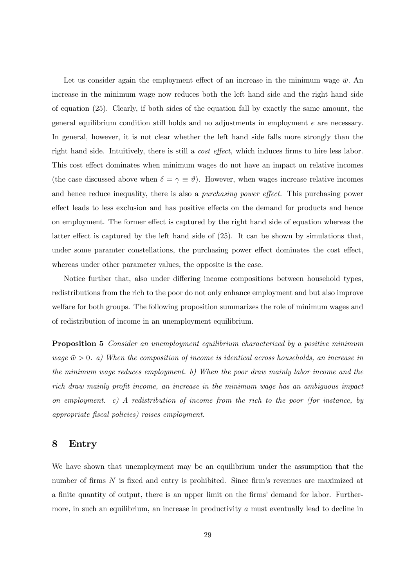Let us consider again the employment effect of an increase in the minimum wage  $\bar{w}$ . An increase in the minimum wage now reduces both the left hand side and the right hand side of equation (25). Clearly, if both sides of the equation fall by exactly the same amount, the general equilibrium condition still holds and no adjustments in employment e are necessary. In general, however, it is not clear whether the left hand side falls more strongly than the right hand side. Intuitively, there is still a cost effect, which induces firms to hire less labor. This cost effect dominates when minimum wages do not have an impact on relative incomes (the case discussed above when  $\delta = \gamma \equiv \vartheta$ ). However, when wages increase relative incomes and hence reduce inequality, there is also a purchasing power effect. This purchasing power effect leads to less exclusion and has positive effects on the demand for products and hence on employment. The former effect is captured by the right hand side of equation whereas the latter effect is captured by the left hand side of (25). It can be shown by simulations that, under some paramter constellations, the purchasing power effect dominates the cost effect, whereas under other parameter values, the opposite is the case.

Notice further that, also under differing income compositions between household types, redistributions from the rich to the poor do not only enhance employment and but also improve welfare for both groups. The following proposition summarizes the role of minimum wages and of redistribution of income in an unemployment equilibrium.

**Proposition 5** Consider an unemployment equilibrium characterized by a positive minimum wage  $\bar{w} > 0$ . a) When the composition of income is identical across households, an increase in the minimum wage reduces employment. b) When the poor draw mainly labor income and the rich draw mainly profit income, an increase in the minimum wage has an ambiguous impact on employment. c) A redistribution of income from the rich to the poor (for instance, by appropriate fiscal policies) raises employment.

## 8 Entry

We have shown that unemployment may be an equilibrium under the assumption that the number of firms N is fixed and entry is prohibited. Since firm's revenues are maximized at a finite quantity of output, there is an upper limit on the firms' demand for labor. Furthermore, in such an equilibrium, an increase in productivity a must eventually lead to decline in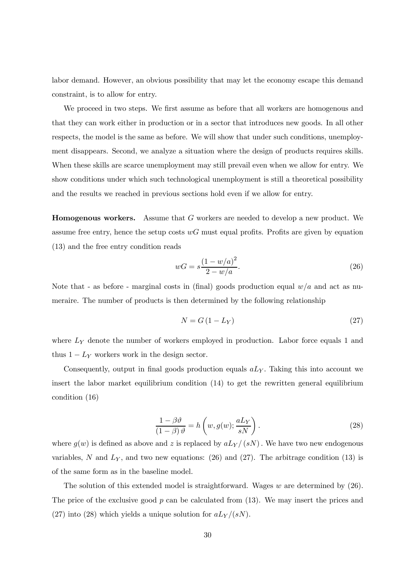labor demand. However, an obvious possibility that may let the economy escape this demand constraint, is to allow for entry.

We proceed in two steps. We first assume as before that all workers are homogenous and that they can work either in production or in a sector that introduces new goods. In all other respects, the model is the same as before. We will show that under such conditions, unemployment disappears. Second, we analyze a situation where the design of products requires skills. When these skills are scarce unemployment may still prevail even when we allow for entry. We show conditions under which such technological unemployment is still a theoretical possibility and the results we reached in previous sections hold even if we allow for entry.

Homogenous workers. Assume that G workers are needed to develop a new product. We assume free entry, hence the setup costs  $wG$  must equal profits. Profits are given by equation (13) and the free entry condition reads

$$
wG = s\frac{(1 - w/a)^2}{2 - w/a}.
$$
\n(26)

Note that - as before - marginal costs in (final) goods production equal  $w/a$  and act as numeraire. The number of products is then determined by the following relationship

$$
N = G\left(1 - L_Y\right) \tag{27}
$$

where  $L<sub>Y</sub>$  denote the number of workers employed in production. Labor force equals 1 and thus  $1 - L_Y$  workers work in the design sector.

Consequently, output in final goods production equals  $aL<sub>Y</sub>$ . Taking this into account we insert the labor market equilibrium condition (14) to get the rewritten general equilibrium condition (16)

$$
\frac{1 - \beta \vartheta}{(1 - \beta) \vartheta} = h\left(w, g(w); \frac{aL_Y}{sN}\right).
$$
\n(28)

where  $g(w)$  is defined as above and z is replaced by  $aL_Y/(sN)$ . We have two new endogenous variables, N and  $L_Y$ , and two new equations: (26) and (27). The arbitrage condition (13) is of the same form as in the baseline model.

The solution of this extended model is straightforward. Wages  $w$  are determined by  $(26)$ . The price of the exclusive good  $p$  can be calculated from  $(13)$ . We may insert the prices and (27) into (28) which yields a unique solution for  $aLy/(sN)$ .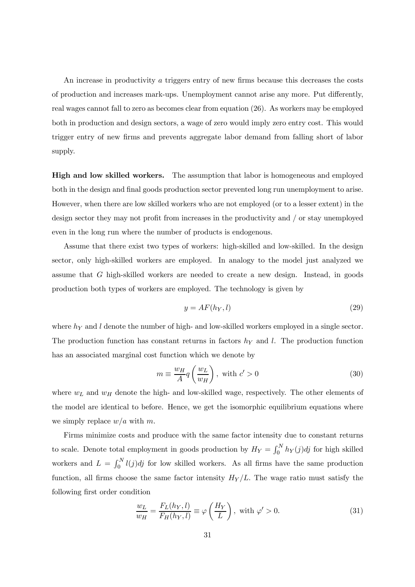An increase in productivity a triggers entry of new firms because this decreases the costs of production and increases mark-ups. Unemployment cannot arise any more. Put differently, real wages cannot fall to zero as becomes clear from equation (26). As workers may be employed both in production and design sectors, a wage of zero would imply zero entry cost. This would trigger entry of new firms and prevents aggregate labor demand from falling short of labor supply.

High and low skilled workers. The assumption that labor is homogeneous and employed both in the design and final goods production sector prevented long run unemployment to arise. However, when there are low skilled workers who are not employed (or to a lesser extent) in the design sector they may not profit from increases in the productivity and / or stay unemployed even in the long run where the number of products is endogenous.

Assume that there exist two types of workers: high-skilled and low-skilled. In the design sector, only high-skilled workers are employed. In analogy to the model just analyzed we assume that G high-skilled workers are needed to create a new design. Instead, in goods production both types of workers are employed. The technology is given by

$$
y = AF(h_Y, l) \tag{29}
$$

where  $h_Y$  and l denote the number of high- and low-skilled workers employed in a single sector. The production function has constant returns in factors  $h<sub>Y</sub>$  and l. The production function has an associated marginal cost function which we denote by

$$
m \equiv \frac{w_H}{A} q \left( \frac{w_L}{w_H} \right), \text{ with } c' > 0 \tag{30}
$$

where  $w_L$  and  $w_H$  denote the high- and low-skilled wage, respectively. The other elements of the model are identical to before. Hence, we get the isomorphic equilibrium equations where we simply replace  $w/a$  with m.

Firms minimize costs and produce with the same factor intensity due to constant returns to scale. Denote total employment in goods production by  $H_Y = \int_0^N h_Y(j)dj$  for high skilled workers and  $L = \int_0^N l(j)dj$  for low skilled workers. As all firms have the same production function, all firms choose the same factor intensity  $H_Y/L$ . The wage ratio must satisfy the following first order condition

$$
\frac{w_L}{w_H} = \frac{F_L(h_Y, l)}{F_H(h_Y, l)} \equiv \varphi\left(\frac{H_Y}{L}\right), \text{ with } \varphi' > 0.
$$
\n(31)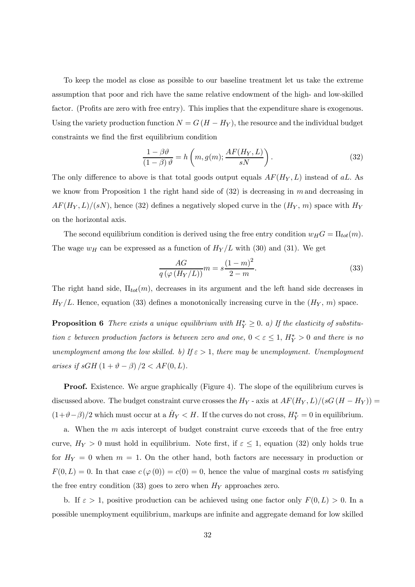To keep the model as close as possible to our baseline treatment let us take the extreme assumption that poor and rich have the same relative endowment of the high- and low-skilled factor. (Profits are zero with free entry). This implies that the expenditure share is exogenous. Using the variety production function  $N = G(H - H_Y)$ , the resource and the individual budget constraints we find the first equilibrium condition

$$
\frac{1 - \beta \vartheta}{(1 - \beta) \vartheta} = h\left(m, g(m); \frac{AF(H_Y, L)}{sN}\right).
$$
\n(32)

The only difference to above is that total goods output equals  $AF(H_Y, L)$  instead of aL. As we know from Proposition 1 the right hand side of  $(32)$  is decreasing in m and decreasing in  $AF(H_Y, L)/(sN)$ , hence (32) defines a negatively sloped curve in the  $(H_Y, m)$  space with  $H_Y$ on the horizontal axis.

The second equilibrium condition is derived using the free entry condition  $w_H G = \Pi_{tot}(m)$ . The wage  $w_H$  can be expressed as a function of  $H_Y/L$  with (30) and (31). We get

$$
\frac{AG}{q\left(\varphi\left(H_Y/L\right)\right)}m = s\frac{\left(1-m\right)^2}{2-m}.\tag{33}
$$

The right hand side,  $\Pi_{tot}(m)$ , decreases in its argument and the left hand side decreases in  $H_Y/L$ . Hence, equation (33) defines a monotonically increasing curve in the  $(H_Y, m)$  space.

**Proposition 6** There exists a unique equilibrium with  $H_Y^* \geq 0$ . a) If the elasticity of substitution  $\varepsilon$  between production factors is between zero and one,  $0 < \varepsilon \leq 1$ ,  $H_Y^* > 0$  and there is no unemployment among the low skilled. b) If  $\varepsilon > 1$ , there may be unemployment. Unemployment arises if  $sGH(1+\vartheta-\beta)/2 < AF(0,L)$ .

Proof. Existence. We argue graphically (Figure 4). The slope of the equilibrium curves is discussed above. The budget constraint curve crosses the  $H_Y$  - axis at  $AF(H_Y, L)/(sG(H - H_Y))$  =  $(1+\vartheta-\beta)/2$  which must occur at a  $\hat{H}_Y < H$ . If the curves do not cross,  $H_Y^* = 0$  in equilibrium.

a. When the  $m$  axis intercept of budget constraint curve exceeds that of the free entry curve,  $H_Y > 0$  must hold in equilibrium. Note first, if  $\varepsilon \leq 1$ , equation (32) only holds true for  $H_Y = 0$  when  $m = 1$ . On the other hand, both factors are necessary in production or  $F(0, L) = 0$ . In that case  $c (\varphi(0)) = c(0) = 0$ , hence the value of marginal costs m satisfying the free entry condition (33) goes to zero when  $H<sub>Y</sub>$  approaches zero.

b. If  $\varepsilon > 1$ , positive production can be achieved using one factor only  $F(0, L) > 0$ . In a possible unemployment equilibrium, markups are infinite and aggregate demand for low skilled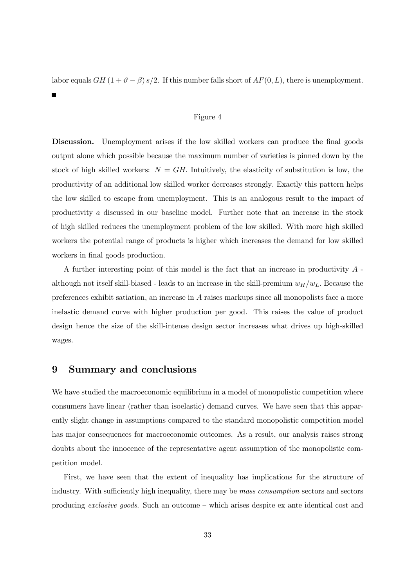labor equals  $GH$  (1 +  $\vartheta$  –  $\beta$ ) s/2. If this number falls short of  $AF(0, L)$ , there is unemployment.

#### Figure 4

Discussion. Unemployment arises if the low skilled workers can produce the final goods output alone which possible because the maximum number of varieties is pinned down by the stock of high skilled workers:  $N = GH$ . Intuitively, the elasticity of substitution is low, the productivity of an additional low skilled worker decreases strongly. Exactly this pattern helps the low skilled to escape from unemployment. This is an analogous result to the impact of productivity a discussed in our baseline model. Further note that an increase in the stock of high skilled reduces the unemployment problem of the low skilled. With more high skilled workers the potential range of products is higher which increases the demand for low skilled workers in final goods production.

A further interesting point of this model is the fact that an increase in productivity A although not itself skill-biased - leads to an increase in the skill-premium  $w_H/w_L$ . Because the preferences exhibit satiation, an increase in A raises markups since all monopolists face a more inelastic demand curve with higher production per good. This raises the value of product design hence the size of the skill-intense design sector increases what drives up high-skilled wages.

# 9 Summary and conclusions

п

We have studied the macroeconomic equilibrium in a model of monopolistic competition where consumers have linear (rather than isoelastic) demand curves. We have seen that this apparently slight change in assumptions compared to the standard monopolistic competition model has major consequences for macroeconomic outcomes. As a result, our analysis raises strong doubts about the innocence of the representative agent assumption of the monopolistic competition model.

First, we have seen that the extent of inequality has implications for the structure of industry. With sufficiently high inequality, there may be mass consumption sectors and sectors producing exclusive goods. Such an outcome — which arises despite ex ante identical cost and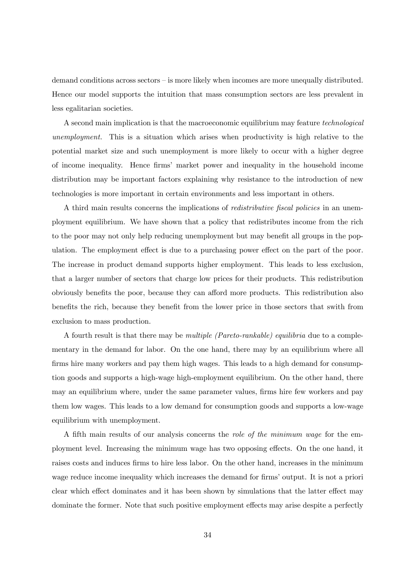demand conditions across sectors — is more likely when incomes are more unequally distributed. Hence our model supports the intuition that mass consumption sectors are less prevalent in less egalitarian societies.

A second main implication is that the macroeconomic equilibrium may feature technological unemployment. This is a situation which arises when productivity is high relative to the potential market size and such unemployment is more likely to occur with a higher degree of income inequality. Hence firms' market power and inequality in the household income distribution may be important factors explaining why resistance to the introduction of new technologies is more important in certain environments and less important in others.

A third main results concerns the implications of redistributive fiscal policies in an unemployment equilibrium. We have shown that a policy that redistributes income from the rich to the poor may not only help reducing unemployment but may benefit all groups in the population. The employment effect is due to a purchasing power effect on the part of the poor. The increase in product demand supports higher employment. This leads to less exclusion, that a larger number of sectors that charge low prices for their products. This redistribution obviously benefits the poor, because they can afford more products. This redistribution also benefits the rich, because they benefit from the lower price in those sectors that swith from exclusion to mass production.

A fourth result is that there may be multiple (Pareto-rankable) equilibria due to a complementary in the demand for labor. On the one hand, there may by an equilibrium where all firms hire many workers and pay them high wages. This leads to a high demand for consumption goods and supports a high-wage high-employment equilibrium. On the other hand, there may an equilibrium where, under the same parameter values, firms hire few workers and pay them low wages. This leads to a low demand for consumption goods and supports a low-wage equilibrium with unemployment.

A fifth main results of our analysis concerns the role of the minimum wage for the employment level. Increasing the minimum wage has two opposing effects. On the one hand, it raises costs and induces firms to hire less labor. On the other hand, increases in the minimum wage reduce income inequality which increases the demand for firms' output. It is not a priori clear which effect dominates and it has been shown by simulations that the latter effect may dominate the former. Note that such positive employment effects may arise despite a perfectly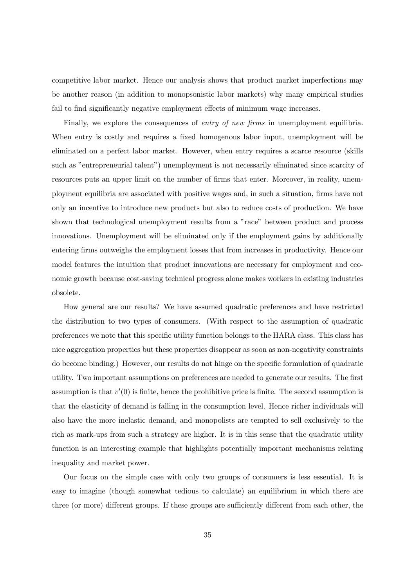competitive labor market. Hence our analysis shows that product market imperfections may be another reason (in addition to monopsonistic labor markets) why many empirical studies fail to find significantly negative employment effects of minimum wage increases.

Finally, we explore the consequences of *entry of new firms* in unemployment equilibria. When entry is costly and requires a fixed homogenous labor input, unemployment will be eliminated on a perfect labor market. However, when entry requires a scarce resource (skills such as "entrepreneurial talent") unemployment is not necessarily eliminated since scarcity of resources puts an upper limit on the number of firms that enter. Moreover, in reality, unemployment equilibria are associated with positive wages and, in such a situation, firms have not only an incentive to introduce new products but also to reduce costs of production. We have shown that technological unemployment results from a "race" between product and process innovations. Unemployment will be eliminated only if the employment gains by additionally entering firms outweighs the employment losses that from increases in productivity. Hence our model features the intuition that product innovations are necessary for employment and economic growth because cost-saving technical progress alone makes workers in existing industries obsolete.

How general are our results? We have assumed quadratic preferences and have restricted the distribution to two types of consumers. (With respect to the assumption of quadratic preferences we note that this specific utility function belongs to the HARA class. This class has nice aggregation properties but these properties disappear as soon as non-negativity constraints do become binding.) However, our results do not hinge on the specific formulation of quadratic utility. Two important assumptions on preferences are needed to generate our results. The first assumption is that  $v'(0)$  is finite, hence the prohibitive price is finite. The second assumption is that the elasticity of demand is falling in the consumption level. Hence richer individuals will also have the more inelastic demand, and monopolists are tempted to sell exclusively to the rich as mark-ups from such a strategy are higher. It is in this sense that the quadratic utility function is an interesting example that highlights potentially important mechanisms relating inequality and market power.

Our focus on the simple case with only two groups of consumers is less essential. It is easy to imagine (though somewhat tedious to calculate) an equilibrium in which there are three (or more) different groups. If these groups are sufficiently different from each other, the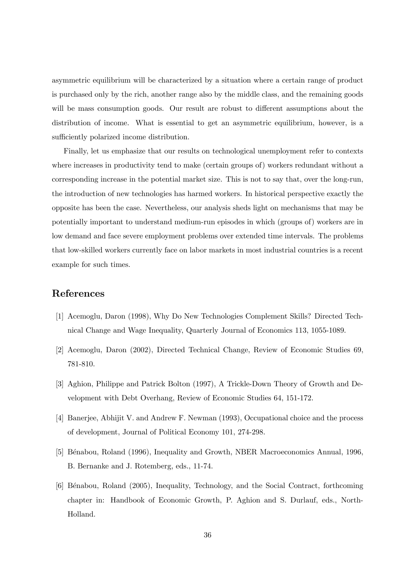asymmetric equilibrium will be characterized by a situation where a certain range of product is purchased only by the rich, another range also by the middle class, and the remaining goods will be mass consumption goods. Our result are robust to different assumptions about the distribution of income. What is essential to get an asymmetric equilibrium, however, is a sufficiently polarized income distribution.

Finally, let us emphasize that our results on technological unemployment refer to contexts where increases in productivity tend to make (certain groups of) workers redundant without a corresponding increase in the potential market size. This is not to say that, over the long-run, the introduction of new technologies has harmed workers. In historical perspective exactly the opposite has been the case. Nevertheless, our analysis sheds light on mechanisms that may be potentially important to understand medium-run episodes in which (groups of) workers are in low demand and face severe employment problems over extended time intervals. The problems that low-skilled workers currently face on labor markets in most industrial countries is a recent example for such times.

# References

- [1] Acemoglu, Daron (1998), Why Do New Technologies Complement Skills? Directed Technical Change and Wage Inequality, Quarterly Journal of Economics 113, 1055-1089.
- [2] Acemoglu, Daron (2002), Directed Technical Change, Review of Economic Studies 69, 781-810.
- [3] Aghion, Philippe and Patrick Bolton (1997), A Trickle-Down Theory of Growth and Development with Debt Overhang, Review of Economic Studies 64, 151-172.
- [4] Banerjee, Abhijit V. and Andrew F. Newman (1993), Occupational choice and the process of development, Journal of Political Economy 101, 274-298.
- [5] Bénabou, Roland (1996), Inequality and Growth, NBER Macroeconomics Annual, 1996, B. Bernanke and J. Rotemberg, eds., 11-74.
- [6] B´enabou, Roland (2005), Inequality, Technology, and the Social Contract, forthcoming chapter in: Handbook of Economic Growth, P. Aghion and S. Durlauf, eds., North-Holland.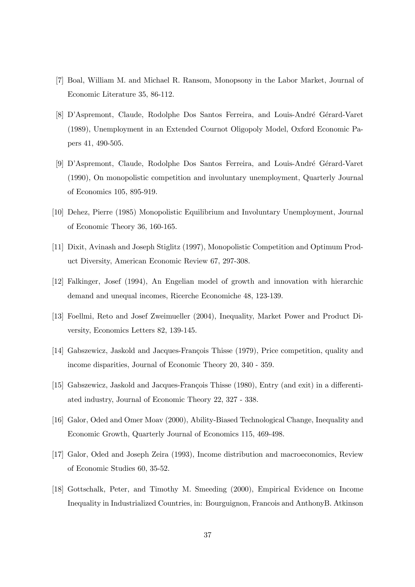- [7] Boal, William M. and Michael R. Ransom, Monopsony in the Labor Market, Journal of Economic Literature 35, 86-112.
- [8] D'Aspremont, Claude, Rodolphe Dos Santos Ferreira, and Louis-André Gérard-Varet (1989), Unemployment in an Extended Cournot Oligopoly Model, Oxford Economic Papers 41, 490-505.
- [9] D'Aspremont, Claude, Rodolphe Dos Santos Ferreira, and Louis-André Gérard-Varet (1990), On monopolistic competition and involuntary unemployment, Quarterly Journal of Economics 105, 895-919.
- [10] Dehez, Pierre (1985) Monopolistic Equilibrium and Involuntary Unemployment, Journal of Economic Theory 36, 160-165.
- [11] Dixit, Avinash and Joseph Stiglitz (1997), Monopolistic Competition and Optimum Product Diversity, American Economic Review 67, 297-308.
- [12] Falkinger, Josef (1994), An Engelian model of growth and innovation with hierarchic demand and unequal incomes, Ricerche Economiche 48, 123-139.
- [13] Foellmi, Reto and Josef Zweimueller (2004), Inequality, Market Power and Product Diversity, Economics Letters 82, 139-145.
- [14] Gabszewicz, Jaskold and Jacques-François Thisse (1979), Price competition, quality and income disparities, Journal of Economic Theory 20, 340 - 359.
- [15] Gabszewicz, Jaskold and Jacques-François Thisse (1980), Entry (and exit) in a differentiated industry, Journal of Economic Theory 22, 327 - 338.
- [16] Galor, Oded and Omer Moav (2000), Ability-Biased Technological Change, Inequality and Economic Growth, Quarterly Journal of Economics 115, 469-498.
- [17] Galor, Oded and Joseph Zeira (1993), Income distribution and macroeconomics, Review of Economic Studies 60, 35-52.
- [18] Gottschalk, Peter, and Timothy M. Smeeding (2000), Empirical Evidence on Income Inequality in Industrialized Countries, in: Bourguignon, Francois and AnthonyB. Atkinson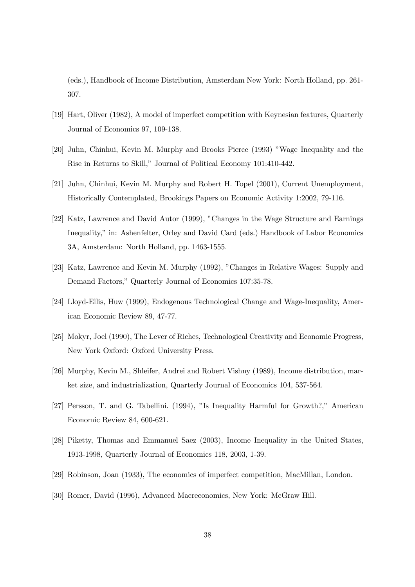(eds.), Handbook of Income Distribution, Amsterdam New York: North Holland, pp. 261- 307.

- [19] Hart, Oliver (1982), A model of imperfect competition with Keynesian features, Quarterly Journal of Economics 97, 109-138.
- [20] Juhn, Chinhui, Kevin M. Murphy and Brooks Pierce (1993) "Wage Inequality and the Rise in Returns to Skill," Journal of Political Economy 101:410-442.
- [21] Juhn, Chinhui, Kevin M. Murphy and Robert H. Topel (2001), Current Unemployment, Historically Contemplated, Brookings Papers on Economic Activity 1:2002, 79-116.
- [22] Katz, Lawrence and David Autor (1999), "Changes in the Wage Structure and Earnings Inequality," in: Ashenfelter, Orley and David Card (eds.) Handbook of Labor Economics 3A, Amsterdam: North Holland, pp. 1463-1555.
- [23] Katz, Lawrence and Kevin M. Murphy (1992), "Changes in Relative Wages: Supply and Demand Factors," Quarterly Journal of Economics 107:35-78.
- [24] Lloyd-Ellis, Huw (1999), Endogenous Technological Change and Wage-Inequality, American Economic Review 89, 47-77.
- [25] Mokyr, Joel (1990), The Lever of Riches, Technological Creativity and Economic Progress, New York Oxford: Oxford University Press.
- [26] Murphy, Kevin M., Shleifer, Andrei and Robert Vishny (1989), Income distribution, market size, and industrialization, Quarterly Journal of Economics 104, 537-564.
- [27] Persson, T. and G. Tabellini. (1994), "Is Inequality Harmful for Growth?," American Economic Review 84, 600-621.
- [28] Piketty, Thomas and Emmanuel Saez (2003), Income Inequality in the United States, 1913-1998, Quarterly Journal of Economics 118, 2003, 1-39.
- [29] Robinson, Joan (1933), The economics of imperfect competition, MacMillan, London.
- [30] Romer, David (1996), Advanced Macreconomics, New York: McGraw Hill.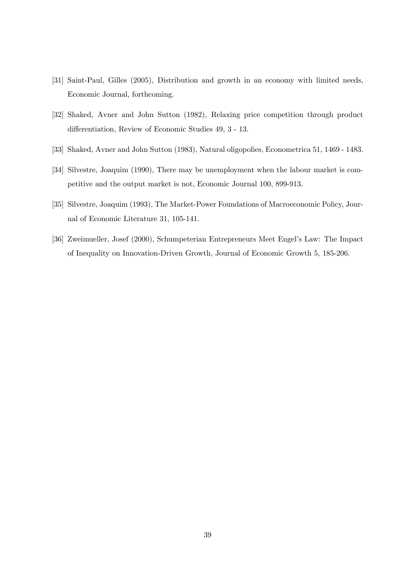- [31] Saint-Paul, Gilles (2005), Distribution and growth in an economy with limited needs, Economic Journal, forthcoming.
- [32] Shaked, Avner and John Sutton (1982), Relaxing price competition through product differentiation, Review of Economic Studies 49, 3 - 13.
- [33] Shaked, Avner and John Sutton (1983), Natural oligopolies, Econometrica 51, 1469 1483.
- [34] Silvestre, Joaquim (1990), There may be unemployment when the labour market is competitive and the output market is not, Economic Journal 100, 899-913.
- [35] Silvestre, Joaquim (1993), The Market-Power Foundations of Macroeconomic Policy, Journal of Economic Literature 31, 105-141.
- [36] Zweimueller, Josef (2000), Schumpeterian Entrepreneurs Meet Engel's Law: The Impact of Inequality on Innovation-Driven Growth, Journal of Economic Growth 5, 185-206.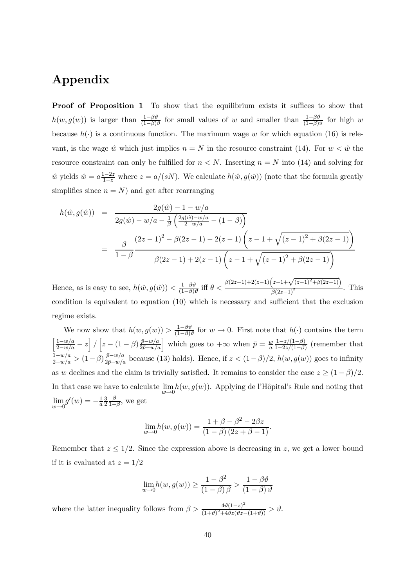# Appendix

Proof of Proposition 1 To show that the equilibrium exists it suffices to show that  $h(w, g(w))$  is larger than  $\frac{1-\beta\vartheta}{(1-\beta)\vartheta}$  for small values of w and smaller than  $\frac{1-\beta\vartheta}{(1-\beta)\vartheta}$  for high w because  $h(\cdot)$  is a continuous function. The maximum wage w for which equation (16) is relevant, is the wage  $\hat{w}$  which just implies  $n = N$  in the resource constraint (14). For  $w < \hat{w}$  the resource constraint can only be fulfilled for  $n < N$ . Inserting  $n = N$  into (14) and solving for  $\hat{w}$  yields  $\hat{w} = a \frac{1-2z}{1-z}$  where  $z = a/(sN)$ . We calculate  $h(\hat{w}, g(\hat{w}))$  (note that the formula greatly simplifies since  $n = N$ ) and get after rearranging

$$
h(\hat{w}, g(\hat{w})) = \frac{2g(\hat{w}) - 1 - w/a}{2g(\hat{w}) - w/a - \frac{1}{\beta} \left(\frac{2g(\hat{w}) - w/a}{2 - w/a} - (1 - \beta)\right)}
$$
  
= 
$$
\frac{\beta}{1 - \beta} \frac{(2z - 1)^2 - \beta(2z - 1) - 2(z - 1)\left(z - 1 + \sqrt{(z - 1)^2 + \beta(2z - 1)}\right)}{\beta(2z - 1) + 2(z - 1)\left(z - 1 + \sqrt{(z - 1)^2 + \beta(2z - 1)}\right)}
$$

Hence, as is easy to see,  $h(\hat{w}, g(\hat{w})) < \frac{1-\beta\vartheta}{(1-\beta)\vartheta}$  iff  $\theta <$  $\beta(2z-1)+2(z-1)\left(z-1+\sqrt{(z-1)^2+\beta(2z-1)}\right)$  $\frac{\sqrt{2(z-1)^2}}{(\beta(2z-1)^2)}$ . This condition is equivalent to equation (10) which is necessary and sufficient that the exclusion regime exists.

We now show that  $h(w, g(w)) > \frac{1-\beta\vartheta}{(1-\beta)\vartheta}$  for  $w \to 0$ . First note that  $h(\cdot)$  contains the term  $\left[\frac{1-w/a}{2-w/a} - z\right] / \left[z - (1-\beta)\frac{\bar{p}-w/a}{2\bar{p}-w/a}\right]$  which goes to  $+\infty$  when  $\bar{p} = \frac{w}{a} \frac{1-z/(1-\beta)}{1-2z/(1-\beta)}$  (remember that  $\frac{1-w/a}{2-w/a}$  >  $(1-\beta)\frac{\bar{p}-w/a}{2\bar{p}-w/a}$  because (13) holds). Hence, if  $z < (1-\beta)/2$ ,  $h(w, g(w))$  goes to infinity as w declines and the claim is trivially satisfied. It remains to consider the case  $z \geq (1 - \beta)/2$ . In that case we have to calculate  $\lim_{w\to 0} h(w, g(w))$ . Applying de l'Hôpital's Rule and noting that lim  $w\rightarrow 0$  $g'(w) = -\frac{1}{a}$ 3 2  $\frac{\beta}{1-\beta}$ , we get

$$
\lim_{w \to 0} h(w, g(w)) = \frac{1 + \beta - \beta^2 - 2\beta z}{(1 - \beta)(2z + \beta - 1)}.
$$

Remember that  $z \leq 1/2$ . Since the expression above is decreasing in z, we get a lower bound if it is evaluated at  $z = 1/2$ 

$$
\lim_{w \to 0} h(w, g(w)) \ge \frac{1 - \beta^2}{(1 - \beta)\beta} > \frac{1 - \beta\vartheta}{(1 - \beta)\vartheta}
$$

where the latter inequality follows from  $\beta > \frac{4\vartheta(1-z)^2}{(1+z)^2(1+z)^2}$  $\frac{4\vartheta(1-z)}{(1+\vartheta)^2+4\vartheta z(\vartheta z-(1+\vartheta))} > \vartheta.$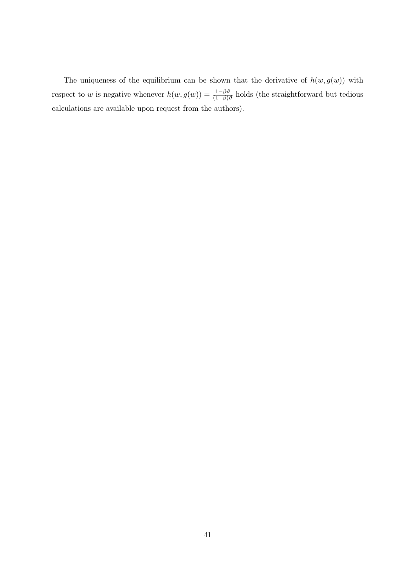The uniqueness of the equilibrium can be shown that the derivative of  $h(w, g(w))$  with respect to w is negative whenever  $h(w, g(w)) = \frac{1-\beta\vartheta}{(1-\beta)\vartheta}$  holds (the straightforward but tedious calculations are available upon request from the authors).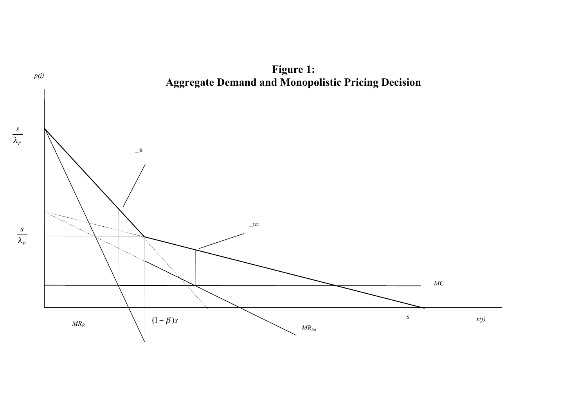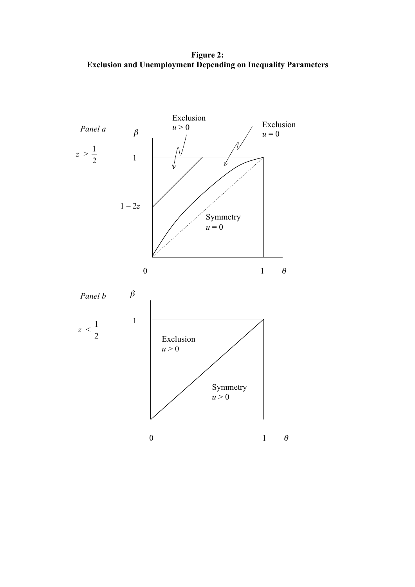Figure 2: Exclusion and Unemployment Depending on Inequality Parameters

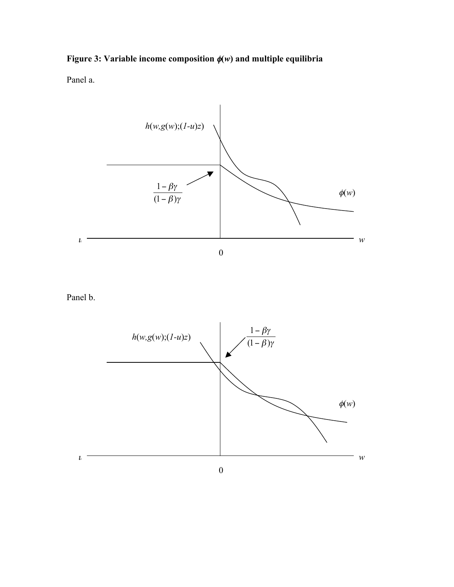# Figure 3: Variable income composition φ(*w*) and multiple equilibria

Panel a.



Panel b.